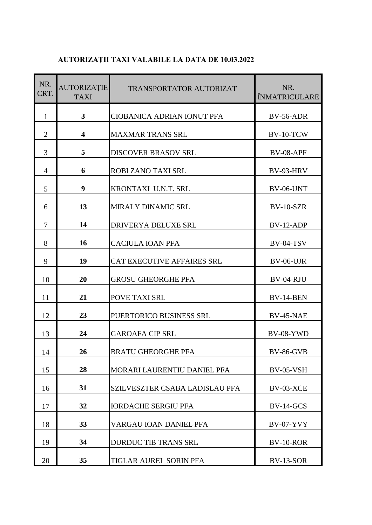## **AUTORIZAŢII TAXI VALABILE LA DATA DE 10.03.2022**

| NR.<br>CRT.    | <b>AUTORIZAȚIE</b><br><b>TAXI</b> | TRANSPORTATOR AUTORIZAT        | NR.<br><b>ÎNMATRICULARE</b> |
|----------------|-----------------------------------|--------------------------------|-----------------------------|
| $\mathbf{1}$   | $\mathbf{3}$                      | CIOBANICA ADRIAN IONUT PFA     | <b>BV-56-ADR</b>            |
| $\overline{2}$ | $\overline{\mathbf{4}}$           | <b>MAXMAR TRANS SRL</b>        | BV-10-TCW                   |
| 3              | 5                                 | <b>DISCOVER BRASOV SRL</b>     | <b>BV-08-APF</b>            |
| 4              | 6                                 | ROBI ZANO TAXI SRL             | BV-93-HRV                   |
| 5              | 9                                 | KRONTAXI U.N.T. SRL            | BV-06-UNT                   |
| 6              | 13                                | <b>MIRALY DINAMIC SRL</b>      | <b>BV-10-SZR</b>            |
| 7              | 14                                | DRIVERYA DELUXE SRL            | BV-12-ADP                   |
| 8              | 16                                | <b>CACIULA IOAN PFA</b>        | <b>BV-04-TSV</b>            |
| 9              | 19                                | CAT EXECUTIVE AFFAIRES SRL     | BV-06-UJR                   |
| 10             | 20                                | <b>GROSU GHEORGHE PFA</b>      | BV-04-RJU                   |
| 11             | 21                                | POVE TAXI SRL                  | BV-14-BEN                   |
| 12             | 23                                | PUERTORICO BUSINESS SRL        | <b>BV-45-NAE</b>            |
| 13             | 24                                | <b>GAROAFA CIP SRL</b>         | BV-08-YWD                   |
| 14             | 26                                | <b>BRATU GHEORGHE PFA</b>      | <b>BV-86-GVB</b>            |
| 15             | 28                                | MORARI LAURENTIU DANIEL PFA    | <b>BV-05-VSH</b>            |
| 16             | 31                                | SZILVESZTER CSABA LADISLAU PFA | BV-03-XCE                   |
| 17             | 32                                | <b>IORDACHE SERGIU PFA</b>     | $BV-14-GCS$                 |
| 18             | 33                                | VARGAU IOAN DANIEL PFA         | <b>BV-07-YVY</b>            |
| 19             | 34                                | <b>DURDUC TIB TRANS SRL</b>    | BV-10-ROR                   |
| 20             | 35                                | TIGLAR AUREL SORIN PFA         | <b>BV-13-SOR</b>            |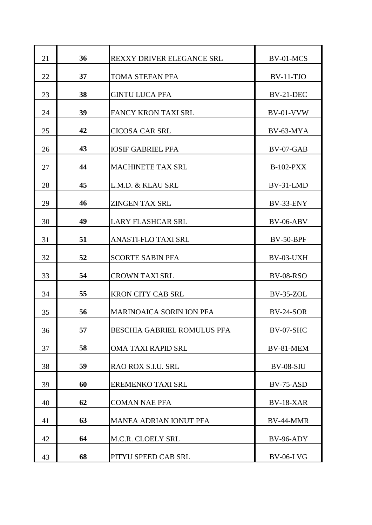| 21 | 36 | <b>REXXY DRIVER ELEGANCE SRL</b>   | BV-01-MCS        |
|----|----|------------------------------------|------------------|
| 22 | 37 | TOMA STEFAN PFA                    | $BV-11-TJO$      |
| 23 | 38 | <b>GINTU LUCA PFA</b>              | BV-21-DEC        |
| 24 | 39 | <b>FANCY KRON TAXI SRL</b>         | $BV-01-VVW$      |
| 25 | 42 | <b>CICOSA CAR SRL</b>              | BV-63-MYA        |
| 26 | 43 | <b>IOSIF GABRIEL PFA</b>           | $BV-07-GAB$      |
| 27 | 44 | <b>MACHINETE TAX SRL</b>           | <b>B-102-PXX</b> |
| 28 | 45 | L.M.D. & KLAU SRL                  | BV-31-LMD        |
| 29 | 46 | <b>ZINGEN TAX SRL</b>              | BV-33-ENY        |
| 30 | 49 | <b>LARY FLASHCAR SRL</b>           | $BV-06-ABV$      |
| 31 | 51 | ANASTI-FLO TAXI SRL                | <b>BV-50-BPF</b> |
| 32 | 52 | <b>SCORTE SABIN PFA</b>            | BV-03-UXH        |
| 33 | 54 | <b>CROWN TAXI SRL</b>              | <b>BV-08-RSO</b> |
| 34 | 55 | <b>KRON CITY CAB SRL</b>           | <b>BV-35-ZOL</b> |
| 35 | 56 | <b>MARINOAICA SORIN ION PFA</b>    | $BV-24-SOR$      |
| 36 | 57 | <b>BESCHIA GABRIEL ROMULUS PFA</b> | BV-07-SHC        |
| 37 | 58 | <b>OMA TAXI RAPID SRL</b>          | BV-81-MEM        |
| 38 | 59 | RAO ROX S.I.U. SRL                 | <b>BV-08-SIU</b> |
| 39 | 60 | EREMENKO TAXI SRL                  | $BV-75-ASD$      |
| 40 | 62 | <b>COMAN NAE PFA</b>               | <b>BV-18-XAR</b> |
| 41 | 63 | <b>MANEA ADRIAN IONUT PFA</b>      | BV-44-MMR        |
| 42 | 64 | M.C.R. CLOELY SRL                  | <b>BV-96-ADY</b> |
| 43 | 68 | PITYU SPEED CAB SRL                | <b>BV-06-LVG</b> |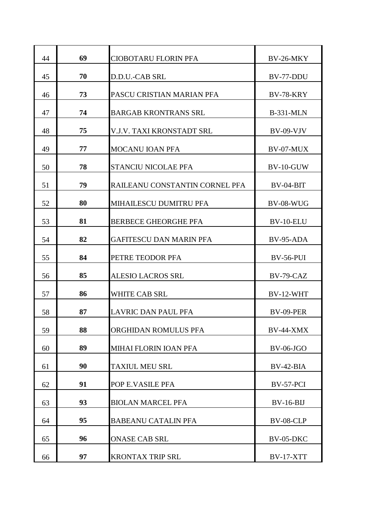| 44 | 69 | <b>CIOBOTARU FLORIN PFA</b>      | BV-26-MKY        |
|----|----|----------------------------------|------------------|
| 45 | 70 | D.D.U.-CAB SRL                   | BV-77-DDU        |
| 46 | 73 | PASCU CRISTIAN MARIAN PFA        | <b>BV-78-KRY</b> |
| 47 | 74 | <b>BARGAB KRONTRANS SRL</b>      | <b>B-331-MLN</b> |
| 48 | 75 | <b>V.J.V. TAXI KRONSTADT SRL</b> | $BV-09-VJV$      |
| 49 | 77 | <b>MOCANU IOAN PFA</b>           | BV-07-MUX        |
| 50 | 78 | <b>STANCIU NICOLAE PFA</b>       | BV-10-GUW        |
| 51 | 79 | RAILEANU CONSTANTIN CORNEL PFA   | $BV-04-BIT$      |
| 52 | 80 | MIHAILESCU DUMITRU PFA           | <b>BV-08-WUG</b> |
| 53 | 81 | <b>BERBECE GHEORGHE PFA</b>      | BV-10-ELU        |
| 54 | 82 | <b>GAFITESCU DAN MARIN PFA</b>   | BV-95-ADA        |
| 55 | 84 | PETRE TEODOR PFA                 | <b>BV-56-PUI</b> |
| 56 | 85 | <b>ALESIO LACROS SRL</b>         | BV-79-CAZ        |
| 57 | 86 | <b>WHITE CAB SRL</b>             | BV-12-WHT        |
| 58 | 87 | <b>LAVRIC DAN PAUL PFA</b>       | BV-09-PER        |
| 59 | 88 | ORGHIDAN ROMULUS PFA             | BV-44-XMX        |
| 60 | 89 | MIHAI FLORIN IOAN PFA            | <b>BV-06-JGO</b> |
| 61 | 90 | <b>TAXIUL MEU SRL</b>            | $BV-42-BIA$      |
| 62 | 91 | POP E.VASILE PFA                 | BV-57-PCI        |
| 63 | 93 | <b>BIOLAN MARCEL PFA</b>         | $BV-16-BIJ$      |
| 64 | 95 | <b>BABEANU CATALIN PFA</b>       | <b>BV-08-CLP</b> |
| 65 | 96 | <b>ONASE CAB SRL</b>             | <b>BV-05-DKC</b> |
| 66 | 97 | <b>KRONTAX TRIP SRL</b>          | <b>BV-17-XTT</b> |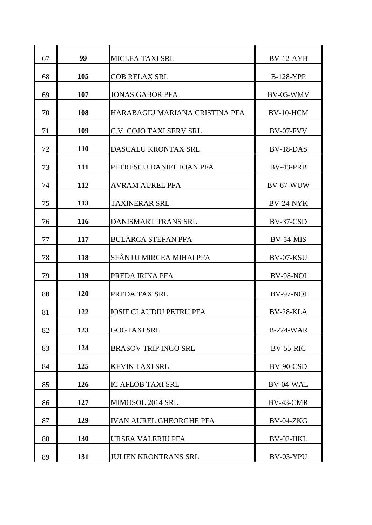| 67 | 99         | <b>MICLEA TAXI SRL</b>         | $BV-12-AYB$      |
|----|------------|--------------------------------|------------------|
| 68 | 105        | <b>COB RELAX SRL</b>           | <b>B-128-YPP</b> |
| 69 | 107        | <b>JONAS GABOR PFA</b>         | BV-05-WMV        |
| 70 | 108        | HARABAGIU MARIANA CRISTINA PFA | BV-10-HCM        |
| 71 | 109        | <b>C.V. COJO TAXI SERV SRL</b> | <b>BV-07-FVV</b> |
| 72 | <b>110</b> | DASCALU KRONTAX SRL            | BV-18-DAS        |
| 73 | 111        | PETRESCU DANIEL IOAN PFA       | BV-43-PRB        |
| 74 | 112        | <b>AVRAM AUREL PFA</b>         | <b>BV-67-WUW</b> |
| 75 | 113        | <b>TAXINERAR SRL</b>           | BV-24-NYK        |
| 76 | 116        | <b>DANISMART TRANS SRL</b>     | BV-37-CSD        |
| 77 | 117        | <b>BULARCA STEFAN PFA</b>      | BV-54-MIS        |
| 78 | 118        | SFÂNTU MIRCEA MIHAI PFA        | BV-07-KSU        |
| 79 | <b>119</b> | PREDA IRINA PFA                | <b>BV-98-NOI</b> |
| 80 | <b>120</b> | PREDA TAX SRL                  | <b>BV-97-NOI</b> |
| 81 | 122        | <b>IOSIF CLAUDIU PETRU PFA</b> | <b>BV-28-KLA</b> |
| 82 | 123        | <b>GOGTAXI SRL</b>             | <b>B-224-WAR</b> |
|    |            |                                |                  |
| 83 | 124        | <b>BRASOV TRIP INGO SRL</b>    | <b>BV-55-RIC</b> |
| 84 | 125        | <b>KEVIN TAXI SRL</b>          | BV-90-CSD        |
| 85 | 126        | <b>IC AFLOB TAXI SRL</b>       | BV-04-WAL        |
| 86 | 127        | MIMOSOL 2014 SRL               | BV-43-CMR        |
| 87 | 129        | <b>IVAN AUREL GHEORGHE PFA</b> | BV-04-ZKG        |
| 88 | 130        | URSEA VALERIU PFA              | BV-02-HKL        |
| 89 | 131        | <b>JULIEN KRONTRANS SRL</b>    | BV-03-YPU        |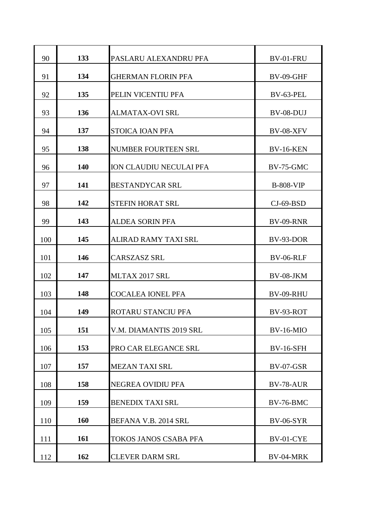| 90  | 133 | PASLARU ALEXANDRU PFA      | BV-01-FRU        |
|-----|-----|----------------------------|------------------|
| 91  | 134 | <b>GHERMAN FLORIN PFA</b>  | <b>BV-09-GHF</b> |
| 92  | 135 | PELIN VICENTIU PFA         | BV-63-PEL        |
| 93  | 136 | <b>ALMATAX-OVI SRL</b>     | BV-08-DUJ        |
| 94  | 137 | STOICA IOAN PFA            | <b>BV-08-XFV</b> |
| 95  | 138 | <b>NUMBER FOURTEEN SRL</b> | <b>BV-16-KEN</b> |
| 96  | 140 | ION CLAUDIU NECULAI PFA    | <b>BV-75-GMC</b> |
| 97  | 141 | <b>BESTANDYCAR SRL</b>     | <b>B-808-VIP</b> |
| 98  | 142 | <b>STEFIN HORAT SRL</b>    | $CI-69-BSD$      |
| 99  | 143 | <b>ALDEA SORIN PFA</b>     | <b>BV-09-RNR</b> |
| 100 | 145 | ALIRAD RAMY TAXI SRL       | BV-93-DOR        |
| 101 | 146 | <b>CARSZASZ SRL</b>        | <b>BV-06-RLF</b> |
| 102 | 147 | MLTAX 2017 SRL             | BV-08-JKM        |
| 103 | 148 | <b>COCALEA IONEL PFA</b>   | BV-09-RHU        |
| 104 | 149 | ROTARU STANCIU PFA         | BV-93-ROT        |
| 105 | 151 | V.M. DIAMANTIS 2019 SRL    | <b>BV-16-MIO</b> |
| 106 | 153 | PRO CAR ELEGANCE SRL       | <b>BV-16-SFH</b> |
| 107 | 157 | <b>MEZAN TAXI SRL</b>      | <b>BV-07-GSR</b> |
| 108 | 158 | <b>NEGREA OVIDIU PFA</b>   | BV-78-AUR        |
| 109 | 159 | <b>BENEDIX TAXI SRL</b>    | BV-76-BMC        |
| 110 | 160 | BEFANA V.B. 2014 SRL       | <b>BV-06-SYR</b> |
| 111 | 161 | TOKOS JANOS CSABA PFA      | BV-01-CYE        |
| 112 | 162 | <b>CLEVER DARM SRL</b>     | BV-04-MRK        |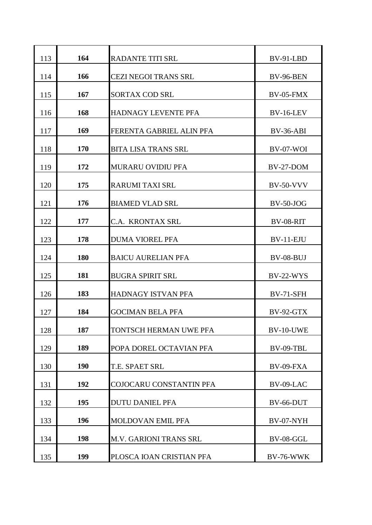| 113 | 164        | <b>RADANTE TITI SRL</b>       | BV-91-LBD        |
|-----|------------|-------------------------------|------------------|
| 114 | 166        | <b>CEZI NEGOI TRANS SRL</b>   | <b>BV-96-BEN</b> |
| 115 | 167        | <b>SORTAX COD SRL</b>         | BV-05-FMX        |
| 116 | 168        | <b>HADNAGY LEVENTE PFA</b>    | <b>BV-16-LEV</b> |
| 117 | 169        | FERENTA GABRIEL ALIN PFA      | $BV-36-ABI$      |
| 118 | 170        | <b>BITA LISA TRANS SRL</b>    | $BV-07-WOI$      |
| 119 | 172        | MURARU OVIDIU PFA             | BV-27-DOM        |
| 120 | 175        | <b>RARUMI TAXI SRL</b>        | <b>BV-50-VVV</b> |
| 121 | 176        | <b>BIAMED VLAD SRL</b>        | $BV-50-JOG$      |
| 122 | 177        | C.A. KRONTAX SRL              | BV-08-RIT        |
| 123 | 178        | <b>DUMA VIOREL PFA</b>        | $BV-11-EJU$      |
| 124 | 180        | <b>BAICU AURELIAN PFA</b>     | BV-08-BUJ        |
| 125 | 181        | <b>BUGRA SPIRIT SRL</b>       | $BV-22-WYS$      |
| 126 | 183        | HADNAGY ISTVAN PFA            | <b>BV-71-SFH</b> |
| 127 | 184        | <b>GOCIMAN BELA PFA</b>       | BV-92-GTX        |
| 128 | 187        | TONTSCH HERMAN UWE PFA        | BV-10-UWE        |
| 129 | 189        | POPA DOREL OCTAVIAN PFA       | BV-09-TBL        |
| 130 | <b>190</b> | T.E. SPAET SRL                | BV-09-FXA        |
| 131 | 192        | COJOCARU CONSTANTIN PFA       | BV-09-LAC        |
| 132 | 195        | <b>DUTU DANIEL PFA</b>        | BV-66-DUT        |
| 133 | 196        | <b>MOLDOVAN EMIL PFA</b>      | BV-07-NYH        |
| 134 | 198        | <b>M.V. GARIONI TRANS SRL</b> | BV-08-GGL        |
| 135 | 199        | PLOSCA IOAN CRISTIAN PFA      | <b>BV-76-WWK</b> |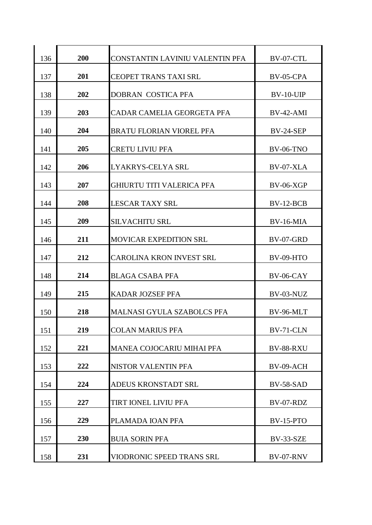| 136 | 200 | CONSTANTIN LAVINIU VALENTIN PFA   | BV-07-CTL        |
|-----|-----|-----------------------------------|------------------|
| 137 | 201 | <b>CEOPET TRANS TAXI SRL</b>      | BV-05-CPA        |
| 138 | 202 | DOBRAN COSTICA PFA                | $BV-10-UIP$      |
| 139 | 203 | CADAR CAMELIA GEORGETA PFA        | BV-42-AMI        |
| 140 | 204 | <b>BRATU FLORIAN VIOREL PFA</b>   | <b>BV-24-SEP</b> |
| 141 | 205 | <b>CRETU LIVIU PFA</b>            | <b>BV-06-TNO</b> |
| 142 | 206 | LYAKRYS-CELYA SRL                 | BV-07-XLA        |
| 143 | 207 | <b>GHIURTU TITI VALERICA PFA</b>  | $BV-06-XGP$      |
| 144 | 208 | <b>LESCAR TAXY SRL</b>            | BV-12-BCB        |
| 145 | 209 | <b>SILVACHITU SRL</b>             | BV-16-MIA        |
| 146 | 211 | <b>MOVICAR EXPEDITION SRL</b>     | BV-07-GRD        |
| 147 | 212 | <b>CAROLINA KRON INVEST SRL</b>   | BV-09-HTO        |
| 148 | 214 | <b>BLAGA CSABA PFA</b>            | $BV-06-CAY$      |
| 149 | 215 | <b>KADAR JOZSEF PFA</b>           | BV-03-NUZ        |
|     | 218 | <b>MALNASI GYULA SZABOLCS PFA</b> | BV-96-MLT        |
| 150 |     |                                   |                  |
| 151 | 219 | <b>COLAN MARIUS PFA</b>           | BV-71-CLN        |
| 152 | 221 | <b>MANEA COJOCARIU MIHAI PFA</b>  | <b>BV-88-RXU</b> |
| 153 | 222 | NISTOR VALENTIN PFA               | BV-09-ACH        |
| 154 | 224 | ADEUS KRONSTADT SRL               | <b>BV-58-SAD</b> |
| 155 | 227 | TIRT IONEL LIVIU PFA              | BV-07-RDZ        |
| 156 | 229 | PLAMADA IOAN PFA                  | $BV-15-PTO$      |
| 157 | 230 | <b>BUIA SORIN PFA</b>             | BV-33-SZE        |
| 158 | 231 | VIODRONIC SPEED TRANS SRL         | <b>BV-07-RNV</b> |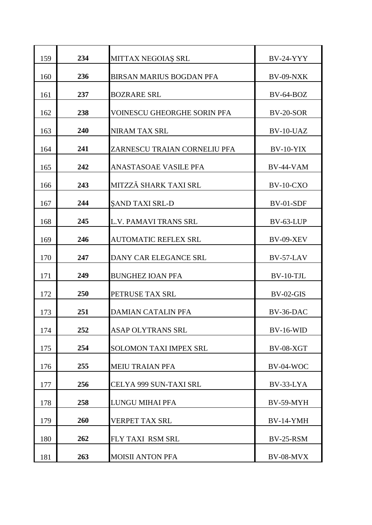| 159 | 234 | MITTAX NEGOIAȘ SRL                 | <b>BV-24-YYY</b> |
|-----|-----|------------------------------------|------------------|
| 160 | 236 | <b>BIRSAN MARIUS BOGDAN PFA</b>    | BV-09-NXK        |
| 161 | 237 | <b>BOZRARE SRL</b>                 | $BV-64-BOZ$      |
| 162 | 238 | <b>VOINESCU GHEORGHE SORIN PFA</b> | <b>BV-20-SOR</b> |
| 163 | 240 | <b>NIRAM TAX SRL</b>               | BV-10-UAZ        |
| 164 | 241 | ZARNESCU TRAIAN CORNELIU PFA       | $BV-10-YIX$      |
| 165 | 242 | ANASTASOAE VASILE PFA              | BV-44-VAM        |
| 166 | 243 | MITZZĂ SHARK TAXI SRL              | <b>BV-10-CXO</b> |
| 167 | 244 | <b>SAND TAXI SRL-D</b>             | BV-01-SDF        |
| 168 | 245 | <b>L.V. PAMAVI TRANS SRL</b>       | BV-63-LUP        |
| 169 | 246 | <b>AUTOMATIC REFLEX SRL</b>        | <b>BV-09-XEV</b> |
| 170 | 247 | DANY CAR ELEGANCE SRL              | BV-57-LAV        |
| 171 | 249 | <b>BUNGHEZ IOAN PFA</b>            | BV-10-TJL        |
| 172 | 250 | PETRUSE TAX SRL                    | $BV-02-GIS$      |
| 173 | 251 | <b>DAMIAN CATALIN PFA</b>          | BV-36-DAC        |
| 174 | 252 | ASAP OLYTRANS SRL                  | <b>BV-16-WID</b> |
| 175 | 254 | <b>SOLOMON TAXI IMPEX SRL</b>      | <b>BV-08-XGT</b> |
| 176 | 255 | <b>MEIU TRAIAN PFA</b>             | BV-04-WOC        |
| 177 | 256 | CELYA 999 SUN-TAXI SRL             | BV-33-LYA        |
| 178 | 258 | LUNGU MIHAI PFA                    | BV-59-MYH        |
| 179 | 260 | <b>VERPET TAX SRL</b>              | <b>BV-14-YMH</b> |
| 180 | 262 | FLY TAXI RSM SRL                   | <b>BV-25-RSM</b> |
| 181 | 263 | <b>MOISII ANTON PFA</b>            | BV-08-MVX        |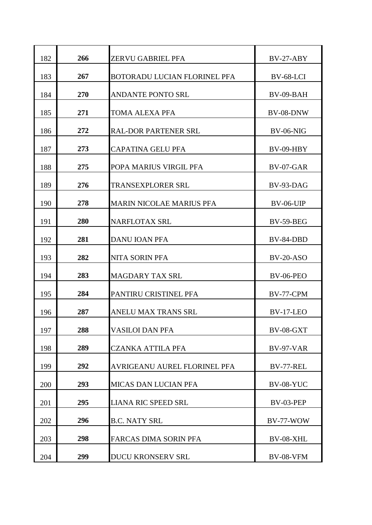| 182 | 266 | ZERVU GABRIEL PFA                   | $BV-27-ABY$      |
|-----|-----|-------------------------------------|------------------|
| 183 | 267 | <b>BOTORADU LUCIAN FLORINEL PFA</b> | BV-68-LCI        |
| 184 | 270 | <b>ANDANTE PONTO SRL</b>            | BV-09-BAH        |
| 185 | 271 | TOMA ALEXA PFA                      | BV-08-DNW        |
| 186 | 272 | <b>RAL-DOR PARTENER SRL</b>         | <b>BV-06-NIG</b> |
| 187 | 273 | <b>CAPATINA GELU PFA</b>            | $BV-09-HBY$      |
| 188 | 275 | POPA MARIUS VIRGIL PFA              | BV-07-GAR        |
| 189 | 276 | TRANSEXPLORER SRL                   | BV-93-DAG        |
| 190 | 278 | <b>MARIN NICOLAE MARIUS PFA</b>     | <b>BV-06-UIP</b> |
| 191 | 280 | <b>NARFLOTAX SRL</b>                | <b>BV-59-BEG</b> |
| 192 | 281 | <b>DANU IOAN PFA</b>                | BV-84-DBD        |
| 193 | 282 | <b>NITA SORIN PFA</b>               | <b>BV-20-ASO</b> |
| 194 | 283 | <b>MAGDARY TAX SRL</b>              | <b>BV-06-PEO</b> |
| 195 | 284 | PANTIRU CRISTINEL PFA               | BV-77-CPM        |
| 196 | 287 | <b>ANELU MAX TRANS SRL</b>          | BV-17-LEO        |
| 197 | 288 | <b>VASILOI DAN PFA</b>              | <b>BV-08-GXT</b> |
| 198 | 289 | <b>CZANKA ATTILA PFA</b>            | <b>BV-97-VAR</b> |
| 199 | 292 | AVRIGEANU AUREL FLORINEL PFA        | BV-77-REL        |
| 200 | 293 | <b>MICAS DAN LUCIAN PFA</b>         | <b>BV-08-YUC</b> |
| 201 | 295 | <b>LIANA RIC SPEED SRL</b>          | BV-03-PEP        |
| 202 | 296 | <b>B.C. NATY SRL</b>                | BV-77-WOW        |
| 203 | 298 | <b>FARCAS DIMA SORIN PFA</b>        | BV-08-XHL        |
| 204 | 299 | <b>DUCU KRONSERV SRL</b>            | <b>BV-08-VFM</b> |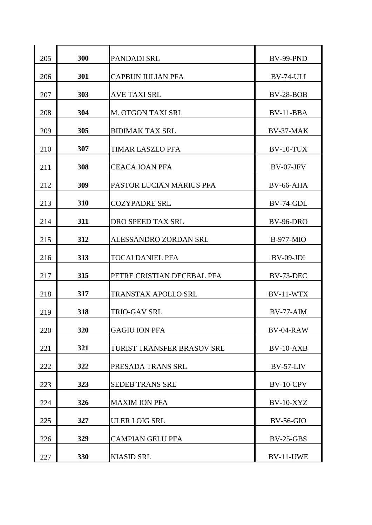| 205 | 300 | PANDADI SRL                | <b>BV-99-PND</b> |
|-----|-----|----------------------------|------------------|
| 206 | 301 | <b>CAPBUN IULIAN PFA</b>   | BV-74-ULI        |
| 207 | 303 | <b>AVE TAXI SRL</b>        | <b>BV-28-BOB</b> |
| 208 | 304 | <b>M. OTGON TAXI SRL</b>   | BV-11-BBA        |
| 209 | 305 | <b>BIDIMAK TAX SRL</b>     | BV-37-MAK        |
| 210 | 307 | <b>TIMAR LASZLO PFA</b>    | BV-10-TUX        |
| 211 | 308 | <b>CEACA IOAN PFA</b>      | BV-07-JFV        |
| 212 | 309 | PASTOR LUCIAN MARIUS PFA   | <b>BV-66-AHA</b> |
| 213 | 310 | <b>COZYPADRE SRL</b>       | BV-74-GDL        |
| 214 | 311 | DRO SPEED TAX SRL          | <b>BV-96-DRO</b> |
| 215 | 312 | ALESSANDRO ZORDAN SRL      | <b>B-977-MIO</b> |
| 216 | 313 | <b>TOCAI DANIEL PFA</b>    | $BV-09-JDI$      |
| 217 | 315 | PETRE CRISTIAN DECEBAL PFA | BV-73-DEC        |
| 218 | 317 | <b>TRANSTAX APOLLO SRL</b> | BV-11-WTX        |
| 219 | 318 | <b>TRIO-GAV SRL</b>        | $BV-77-AIM$      |
| 220 | 320 | <b>GAGIU ION PFA</b>       | BV-04-RAW        |
| 221 | 321 | TURIST TRANSFER BRASOV SRL | $BV-10-AXB$      |
| 222 | 322 | PRESADA TRANS SRL          | $BV-57-LIV$      |
| 223 | 323 | <b>SEDEB TRANS SRL</b>     | BV-10-CPV        |
| 224 | 326 | <b>MAXIM ION PFA</b>       | <b>BV-10-XYZ</b> |
| 225 | 327 | <b>ULER LOIG SRL</b>       | <b>BV-56-GIO</b> |
| 226 | 329 | <b>CAMPIAN GELU PFA</b>    | $BV-25-GBS$      |
| 227 | 330 | <b>KIASID SRL</b>          | BV-11-UWE        |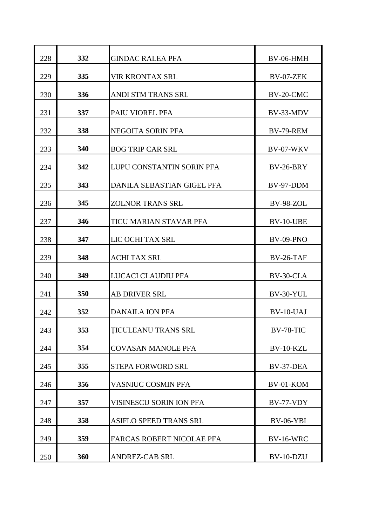| 228 | 332 | <b>GINDAC RALEA PFA</b>          | BV-06-HMH        |
|-----|-----|----------------------------------|------------------|
| 229 | 335 | <b>VIR KRONTAX SRL</b>           | BV-07-ZEK        |
| 230 | 336 | ANDI STM TRANS SRL               | BV-20-CMC        |
| 231 | 337 | PAIU VIOREL PFA                  | BV-33-MDV        |
| 232 | 338 | NEGOITA SORIN PFA                | BV-79-REM        |
| 233 | 340 | <b>BOG TRIP CAR SRL</b>          | <b>BV-07-WKV</b> |
| 234 | 342 | LUPU CONSTANTIN SORIN PFA        | <b>BV-26-BRY</b> |
| 235 | 343 | DANILA SEBASTIAN GIGEL PFA       | BV-97-DDM        |
| 236 | 345 | <b>ZOLNOR TRANS SRL</b>          | <b>BV-98-ZOL</b> |
| 237 | 346 | TICU MARIAN STAVAR PFA           | BV-10-UBE        |
| 238 | 347 | LIC OCHI TAX SRL                 | $BV-09-PNO$      |
| 239 | 348 | <b>ACHI TAX SRL</b>              | <b>BV-26-TAF</b> |
| 240 | 349 | LUCACI CLAUDIU PFA               | BV-30-CLA        |
| 241 | 350 | <b>AB DRIVER SRL</b>             | BV-30-YUL        |
| 242 | 352 | <b>DANAILA ION PFA</b>           | $BV-10-UAJ$      |
| 243 | 353 | <b>TICULEANU TRANS SRL</b>       | <b>BV-78-TIC</b> |
| 244 | 354 | <b>COVASAN MANOLE PFA</b>        | BV-10-KZL        |
| 245 | 355 | STEPA FORWORD SRL                | BV-37-DEA        |
| 246 | 356 | <b>VASNIUC COSMIN PFA</b>        | BV-01-KOM        |
| 247 | 357 | VISINESCU SORIN ION PFA          | BV-77-VDY        |
| 248 | 358 | ASIFLO SPEED TRANS SRL           | <b>BV-06-YBI</b> |
| 249 | 359 | <b>FARCAS ROBERT NICOLAE PFA</b> | <b>BV-16-WRC</b> |
| 250 | 360 | <b>ANDREZ-CAB SRL</b>            | BV-10-DZU        |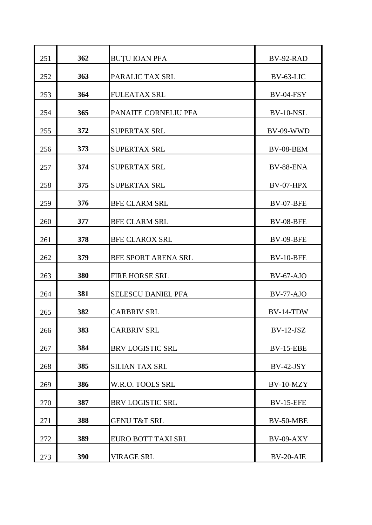| 251 | 362 | <b>BUTU IOAN PFA</b>       | BV-92-RAD        |
|-----|-----|----------------------------|------------------|
| 252 | 363 | PARALIC TAX SRL            | BV-63-LIC        |
| 253 | 364 | <b>FULEATAX SRL</b>        | BV-04-FSY        |
| 254 | 365 | PANAITE CORNELIU PFA       | BV-10-NSL        |
| 255 | 372 | <b>SUPERTAX SRL</b>        | BV-09-WWD        |
| 256 | 373 | <b>SUPERTAX SRL</b>        | BV-08-BEM        |
| 257 | 374 | <b>SUPERTAX SRL</b>        | BV-88-ENA        |
| 258 | 375 | <b>SUPERTAX SRL</b>        | BV-07-HPX        |
| 259 | 376 | <b>BFE CLARM SRL</b>       | BV-07-BFE        |
| 260 | 377 | <b>BFE CLARM SRL</b>       | <b>BV-08-BFE</b> |
| 261 | 378 | <b>BFE CLAROX SRL</b>      | <b>BV-09-BFE</b> |
| 262 | 379 | <b>BFE SPORT ARENA SRL</b> | BV-10-BFE        |
| 263 | 380 | <b>FIRE HORSE SRL</b>      | $BV-67-AJO$      |
| 264 | 381 | <b>SELESCU DANIEL PFA</b>  | BV-77-AJO        |
| 265 | 382 | <b>CARBRIV SRL</b>         | BV-14-TDW        |
| 266 | 383 | <b>CARBRIV SRL</b>         | $BV-12-JSZ$      |
| 267 | 384 | <b>BRV LOGISTIC SRL</b>    | <b>BV-15-EBE</b> |
| 268 | 385 | <b>SILIAN TAX SRL</b>      | $BV-42-JSY$      |
| 269 | 386 | W.R.O. TOOLS SRL           | BV-10-MZY        |
| 270 | 387 | <b>BRV LOGISTIC SRL</b>    | <b>BV-15-EFE</b> |
| 271 | 388 | <b>GENU T&amp;T SRL</b>    | BV-50-MBE        |
| 272 | 389 | EURO BOTT TAXI SRL         | BV-09-AXY        |
| 273 | 390 | <b>VIRAGE SRL</b>          | $BV-20-ATE$      |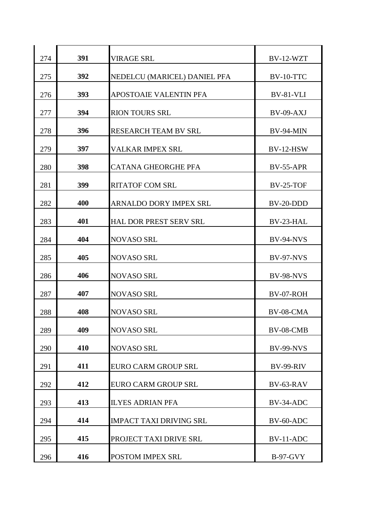| 274 | 391 | <b>VIRAGE SRL</b>              | BV-12-WZT        |
|-----|-----|--------------------------------|------------------|
| 275 | 392 | NEDELCU (MARICEL) DANIEL PFA   | BV-10-TTC        |
| 276 | 393 | APOSTOAIE VALENTIN PFA         | BV-81-VLI        |
| 277 | 394 | <b>RION TOURS SRL</b>          | BV-09-AXJ        |
| 278 | 396 | RESEARCH TEAM BV SRL           | BV-94-MIN        |
| 279 | 397 | VALKAR IMPEX SRL               | <b>BV-12-HSW</b> |
| 280 | 398 | <b>CATANA GHEORGHE PFA</b>     | <b>BV-55-APR</b> |
| 281 | 399 | <b>RITATOF COM SRL</b>         | <b>BV-25-TOF</b> |
| 282 | 400 | <b>ARNALDO DORY IMPEX SRL</b>  | BV-20-DDD        |
| 283 | 401 | <b>HAL DOR PREST SERV SRL</b>  | BV-23-HAL        |
| 284 | 404 | <b>NOVASO SRL</b>              | <b>BV-94-NVS</b> |
| 285 | 405 | <b>NOVASO SRL</b>              | <b>BV-97-NVS</b> |
| 286 | 406 | <b>NOVASO SRL</b>              | <b>BV-98-NVS</b> |
|     | 407 |                                |                  |
| 287 |     | <b>NOVASO SRL</b>              | BV-07-ROH        |
| 288 | 408 | <b>NOVASO SRL</b>              | $BV-08-CMA$      |
| 289 | 409 | <b>NOVASO SRL</b>              | BV-08-CMB        |
| 290 | 410 | <b>NOVASO SRL</b>              | <b>BV-99-NVS</b> |
| 291 | 411 | EURO CARM GROUP SRL            | <b>BV-99-RIV</b> |
| 292 | 412 | <b>EURO CARM GROUP SRL</b>     | BV-63-RAV        |
| 293 | 413 | <b>ILYES ADRIAN PFA</b>        | BV-34-ADC        |
| 294 | 414 | <b>IMPACT TAXI DRIVING SRL</b> | BV-60-ADC        |
| 295 | 415 | PROJECT TAXI DRIVE SRL         | BV-11-ADC        |
| 296 | 416 | POSTOM IMPEX SRL               | <b>B-97-GVY</b>  |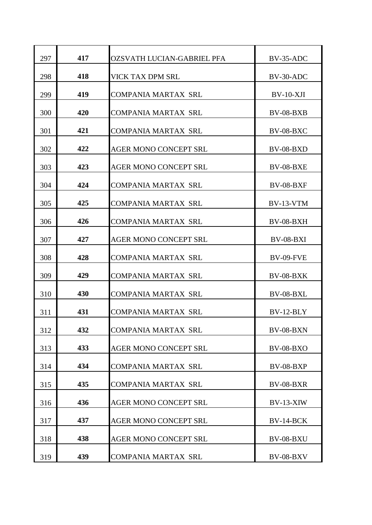| 297 | 417 | OZSVATH LUCIAN-GABRIEL PFA   | BV-35-ADC        |
|-----|-----|------------------------------|------------------|
| 298 | 418 | <b>VICK TAX DPM SRL</b>      | BV-30-ADC        |
| 299 | 419 | <b>COMPANIA MARTAX SRL</b>   | $BV-10-XJI$      |
| 300 | 420 | <b>COMPANIA MARTAX SRL</b>   | <b>BV-08-BXB</b> |
| 301 | 421 | <b>COMPANIA MARTAX SRL</b>   | <b>BV-08-BXC</b> |
| 302 | 422 | <b>AGER MONO CONCEPT SRL</b> | <b>BV-08-BXD</b> |
| 303 | 423 | <b>AGER MONO CONCEPT SRL</b> | <b>BV-08-BXE</b> |
| 304 | 424 | <b>COMPANIA MARTAX SRL</b>   | <b>BV-08-BXF</b> |
| 305 | 425 | <b>COMPANIA MARTAX SRL</b>   | BV-13-VTM        |
| 306 | 426 | <b>COMPANIA MARTAX SRL</b>   | $BV-08-BXH$      |
| 307 | 427 | <b>AGER MONO CONCEPT SRL</b> | <b>BV-08-BXI</b> |
| 308 | 428 | <b>COMPANIA MARTAX SRL</b>   | <b>BV-09-FVE</b> |
| 309 | 429 | <b>COMPANIA MARTAX SRL</b>   | <b>BV-08-BXK</b> |
| 310 | 430 | <b>COMPANIA MARTAX SRL</b>   | BV-08-BXL        |
| 311 | 431 | <b>COMPANIA MARTAX SRL</b>   | $BV-12-BLY$      |
| 312 | 432 | <b>COMPANIA MARTAX SRL</b>   | BV-08-BXN        |
| 313 | 433 | <b>AGER MONO CONCEPT SRL</b> | <b>BV-08-BXO</b> |
| 314 | 434 | <b>COMPANIA MARTAX SRL</b>   | <b>BV-08-BXP</b> |
| 315 | 435 | <b>COMPANIA MARTAX SRL</b>   | <b>BV-08-BXR</b> |
| 316 | 436 | <b>AGER MONO CONCEPT SRL</b> | $BV-13-XIW$      |
| 317 | 437 | <b>AGER MONO CONCEPT SRL</b> | <b>BV-14-BCK</b> |
| 318 | 438 | <b>AGER MONO CONCEPT SRL</b> | <b>BV-08-BXU</b> |
| 319 | 439 | <b>COMPANIA MARTAX SRL</b>   | <b>BV-08-BXV</b> |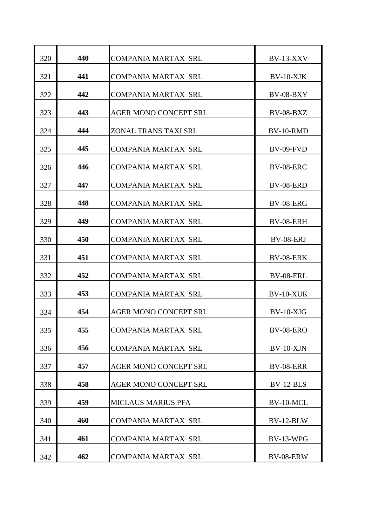| 320 | 440 | <b>COMPANIA MARTAX SRL</b>   | <b>BV-13-XXV</b> |
|-----|-----|------------------------------|------------------|
| 321 | 441 | <b>COMPANIA MARTAX SRL</b>   | $BV-10-XJK$      |
| 322 | 442 | <b>COMPANIA MARTAX SRL</b>   | <b>BV-08-BXY</b> |
| 323 | 443 | <b>AGER MONO CONCEPT SRL</b> | <b>BV-08-BXZ</b> |
| 324 | 444 | ZONAL TRANS TAXI SRL         | $BV-10-RMD$      |
| 325 | 445 | <b>COMPANIA MARTAX SRL</b>   | <b>BV-09-FVD</b> |
| 326 | 446 | <b>COMPANIA MARTAX SRL</b>   | <b>BV-08-ERC</b> |
| 327 | 447 | <b>COMPANIA MARTAX SRL</b>   | BV-08-ERD        |
| 328 | 448 | <b>COMPANIA MARTAX SRL</b>   | <b>BV-08-ERG</b> |
| 329 | 449 | <b>COMPANIA MARTAX SRL</b>   | BV-08-ERH        |
| 330 | 450 | <b>COMPANIA MARTAX SRL</b>   | BV-08-ERJ        |
| 331 | 451 | <b>COMPANIA MARTAX SRL</b>   | <b>BV-08-ERK</b> |
| 332 | 452 | <b>COMPANIA MARTAX SRL</b>   | BV-08-ERL        |
| 333 | 453 | <b>COMPANIA MARTAX SRL</b>   | BV-10-XUK        |
| 334 | 454 | AGER MONO CONCEPT SRL        | $BV-10-XJG$      |
| 335 | 455 | <b>COMPANIA MARTAX SRL</b>   | <b>BV-08-ERO</b> |
| 336 | 456 | <b>COMPANIA MARTAX SRL</b>   | $BV-10-XJN$      |
| 337 | 457 | AGER MONO CONCEPT SRL        | <b>BV-08-ERR</b> |
| 338 | 458 | <b>AGER MONO CONCEPT SRL</b> | $BV-12-BLS$      |
| 339 | 459 | <b>MICLAUS MARIUS PFA</b>    | BV-10-MCL        |
| 340 | 460 | <b>COMPANIA MARTAX SRL</b>   | BV-12-BLW        |
| 341 | 461 | <b>COMPANIA MARTAX SRL</b>   | <b>BV-13-WPG</b> |
| 342 | 462 | <b>COMPANIA MARTAX SRL</b>   | BV-08-ERW        |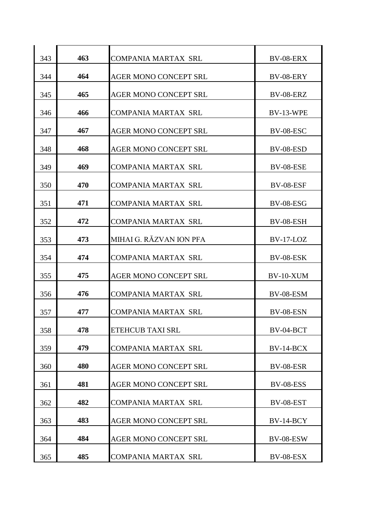| 343 | 463 | <b>COMPANIA MARTAX SRL</b>   | <b>BV-08-ERX</b> |
|-----|-----|------------------------------|------------------|
| 344 | 464 | <b>AGER MONO CONCEPT SRL</b> | BV-08-ERY        |
| 345 | 465 | <b>AGER MONO CONCEPT SRL</b> | <b>BV-08-ERZ</b> |
| 346 | 466 | <b>COMPANIA MARTAX SRL</b>   | <b>BV-13-WPE</b> |
| 347 | 467 | <b>AGER MONO CONCEPT SRL</b> | BV-08-ESC        |
| 348 | 468 | <b>AGER MONO CONCEPT SRL</b> | BV-08-ESD        |
| 349 | 469 | <b>COMPANIA MARTAX SRL</b>   | <b>BV-08-ESE</b> |
| 350 | 470 | <b>COMPANIA MARTAX SRL</b>   | BV-08-ESF        |
| 351 | 471 | <b>COMPANIA MARTAX SRL</b>   | <b>BV-08-ESG</b> |
| 352 | 472 | <b>COMPANIA MARTAX SRL</b>   | <b>BV-08-ESH</b> |
| 353 | 473 | MIHAI G. RĂZVAN ION PFA      | $BV-17-LOZ$      |
| 354 | 474 | <b>COMPANIA MARTAX SRL</b>   | BV-08-ESK        |
| 355 | 475 | <b>AGER MONO CONCEPT SRL</b> | BV-10-XUM        |
| 356 | 476 | <b>COMPANIA MARTAX SRL</b>   | BV-08-ESM        |
| 357 | 477 | <b>COMPANIA MARTAX SRL</b>   | <b>BV-08-ESN</b> |
| 358 | 478 | <b>ETEHCUB TAXI SRL</b>      | BV-04-BCT        |
| 359 | 479 | <b>COMPANIA MARTAX SRL</b>   | $BV-14-BCX$      |
| 360 | 480 | <b>AGER MONO CONCEPT SRL</b> | BV-08-ESR        |
| 361 | 481 | <b>AGER MONO CONCEPT SRL</b> | <b>BV-08-ESS</b> |
| 362 | 482 | <b>COMPANIA MARTAX SRL</b>   | <b>BV-08-EST</b> |
| 363 | 483 | <b>AGER MONO CONCEPT SRL</b> | <b>BV-14-BCY</b> |
| 364 | 484 | <b>AGER MONO CONCEPT SRL</b> | BV-08-ESW        |
| 365 | 485 | <b>COMPANIA MARTAX SRL</b>   | BV-08-ESX        |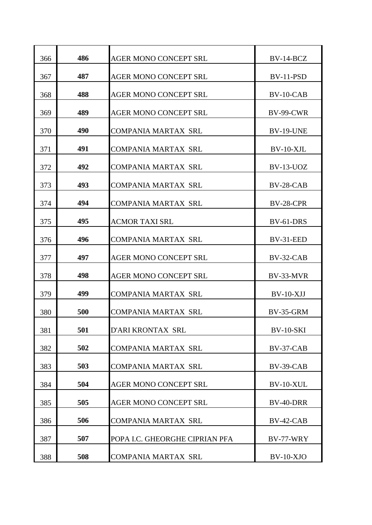| 366 | 486 | <b>AGER MONO CONCEPT SRL</b>   | BV-14-BCZ        |
|-----|-----|--------------------------------|------------------|
| 367 | 487 | <b>AGER MONO CONCEPT SRL</b>   | BV-11-PSD        |
| 368 | 488 | <b>AGER MONO CONCEPT SRL</b>   | BV-10-CAB        |
| 369 | 489 | <b>AGER MONO CONCEPT SRL</b>   | <b>BV-99-CWR</b> |
| 370 | 490 | <b>COMPANIA MARTAX SRL</b>     | <b>BV-19-UNE</b> |
| 371 | 491 | <b>COMPANIA MARTAX SRL</b>     | $BV-10-XJL$      |
| 372 | 492 | <b>COMPANIA MARTAX SRL</b>     | <b>BV-13-UOZ</b> |
| 373 | 493 | <b>COMPANIA MARTAX SRL</b>     | BV-28-CAB        |
| 374 | 494 | <b>COMPANIA MARTAX SRL</b>     | BV-28-CPR        |
| 375 | 495 | <b>ACMOR TAXI SRL</b>          | BV-61-DRS        |
| 376 | 496 | <b>COMPANIA MARTAX SRL</b>     | BV-31-EED        |
| 377 | 497 | <b>AGER MONO CONCEPT SRL</b>   | $BV-32-CAB$      |
| 378 | 498 | <b>AGER MONO CONCEPT SRL</b>   | BV-33-MVR        |
| 379 | 499 | <b>COMPANIA MARTAX SRL</b>     | $BV-10-XJJ$      |
| 380 | 500 | <b>COMPANIA MARTAX SRL</b>     | BV-35-GRM        |
| 381 | 501 | D'ARI KRONTAX SRL              | <b>BV-10-SKI</b> |
| 382 | 502 | <b>COMPANIA MARTAX SRL</b>     | BV-37-CAB        |
| 383 | 503 | <b>COMPANIA MARTAX SRL</b>     | $BV-39-CAB$      |
| 384 | 504 | <b>AGER MONO CONCEPT SRL</b>   | BV-10-XUL        |
| 385 | 505 | AGER MONO CONCEPT SRL          | BV-40-DRR        |
| 386 | 506 | <b>COMPANIA MARTAX SRL</b>     | $BV-42-CAB$      |
| 387 | 507 | POPA I.C. GHEORGHE CIPRIAN PFA | BV-77-WRY        |
| 388 | 508 | <b>COMPANIA MARTAX SRL</b>     | $BV-10-XJO$      |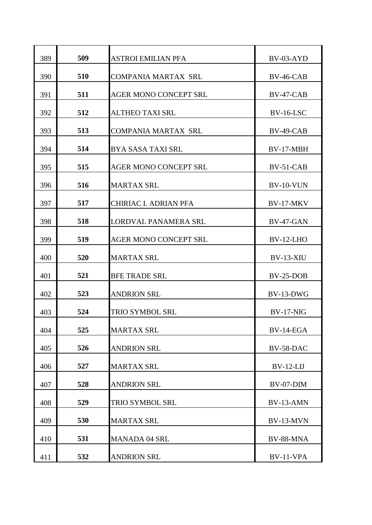| 389 | 509 | <b>ASTROI EMILIAN PFA</b>    | BV-03-AYD        |
|-----|-----|------------------------------|------------------|
| 390 | 510 | <b>COMPANIA MARTAX SRL</b>   | $BV-46-CAB$      |
| 391 | 511 | <b>AGER MONO CONCEPT SRL</b> | BV-47-CAB        |
| 392 | 512 | <b>ALTHEO TAXI SRL</b>       | $BV-16-LSC$      |
| 393 | 513 | <b>COMPANIA MARTAX SRL</b>   | BV-49-CAB        |
| 394 | 514 | <b>BYA SASA TAXI SRL</b>     | BV-17-MBH        |
| 395 | 515 | <b>AGER MONO CONCEPT SRL</b> | BV-51-CAB        |
| 396 | 516 | <b>MARTAX SRL</b>            | <b>BV-10-VUN</b> |
| 397 | 517 | <b>CHIRIAC I. ADRIAN PFA</b> | BV-17-MKV        |
| 398 | 518 | LORDVAL PANAMERA SRL         | <b>BV-47-GAN</b> |
| 399 | 519 | <b>AGER MONO CONCEPT SRL</b> | $BV-12-LHO$      |
| 400 | 520 | <b>MARTAX SRL</b>            | <b>BV-13-XIU</b> |
| 401 | 521 | <b>BFE TRADE SRL</b>         | $BV-25-DOB$      |
| 402 | 523 | <b>ANDRION SRL</b>           | BV-13-DWG        |
| 403 | 524 | TRIO SYMBOL SRL              | <b>BV-17-NIG</b> |
| 404 | 525 | <b>MARTAX SRL</b>            | BV-14-EGA        |
| 405 | 526 | <b>ANDRION SRL</b>           | BV-58-DAC        |
| 406 | 527 | <b>MARTAX SRL</b>            | $BV-12-LIJ$      |
| 407 | 528 | <b>ANDRION SRL</b>           | BV-07-DIM        |
| 408 | 529 | TRIO SYMBOL SRL              | BV-13-AMN        |
| 409 | 530 | <b>MARTAX SRL</b>            | BV-13-MVN        |
| 410 | 531 | <b>MANADA 04 SRL</b>         | BV-88-MNA        |
| 411 | 532 | <b>ANDRION SRL</b>           | BV-11-VPA        |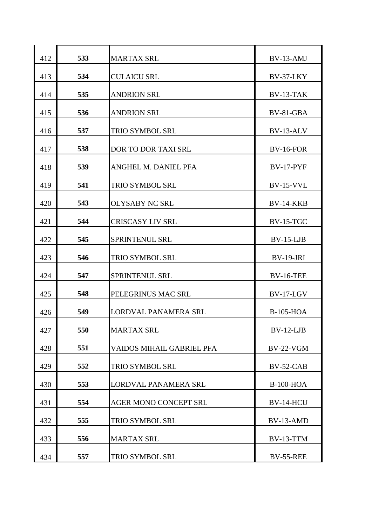| 412 | 533 | <b>MARTAX SRL</b>            | BV-13-AMJ        |
|-----|-----|------------------------------|------------------|
| 413 | 534 | <b>CULAICU SRL</b>           | BV-37-LKY        |
| 414 | 535 | <b>ANDRION SRL</b>           | BV-13-TAK        |
| 415 | 536 | <b>ANDRION SRL</b>           | BV-81-GBA        |
| 416 | 537 | <b>TRIO SYMBOL SRL</b>       | BV-13-ALV        |
| 417 | 538 | <b>DOR TO DOR TAXI SRL</b>   | <b>BV-16-FOR</b> |
| 418 | 539 | ANGHEL M. DANIEL PFA         | <b>BV-17-PYF</b> |
| 419 | 541 | <b>TRIO SYMBOL SRL</b>       | <b>BV-15-VVL</b> |
| 420 | 543 | <b>OLYSABY NC SRL</b>        | <b>BV-14-KKB</b> |
| 421 | 544 | <b>CRISCASY LIV SRL</b>      | $BV-15-TGC$      |
| 422 | 545 | SPRINTENUL SRL               | $BV-15-LJB$      |
| 423 | 546 | TRIO SYMBOL SRL              | <b>BV-19-JRI</b> |
| 424 | 547 | <b>SPRINTENUL SRL</b>        | <b>BV-16-TEE</b> |
| 425 | 548 | PELEGRINUS MAC SRL           | BV-17-LGV        |
| 426 | 549 | LORDVAL PANAMERA SRL         | <b>B-105-HOA</b> |
| 427 | 550 | <b>MARTAX SRL</b>            | $BV-12-LJB$      |
| 428 | 551 | VAIDOS MIHAIL GABRIEL PFA    | <b>BV-22-VGM</b> |
| 429 | 552 | TRIO SYMBOL SRL              | $BV-52-CAB$      |
| 430 | 553 | LORDVAL PANAMERA SRL         | <b>B-100-HOA</b> |
| 431 | 554 | <b>AGER MONO CONCEPT SRL</b> | <b>BV-14-HCU</b> |
| 432 | 555 | TRIO SYMBOL SRL              | BV-13-AMD        |
| 433 | 556 | <b>MARTAX SRL</b>            | BV-13-TTM        |
| 434 | 557 | TRIO SYMBOL SRL              | <b>BV-55-REE</b> |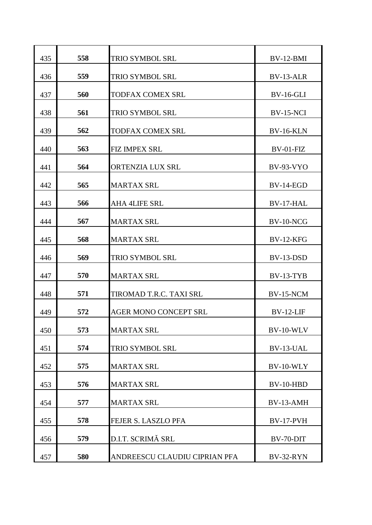| 435 | 558 | <b>TRIO SYMBOL SRL</b>        | BV-12-BMI        |
|-----|-----|-------------------------------|------------------|
| 436 | 559 | <b>TRIO SYMBOL SRL</b>        | BV-13-ALR        |
| 437 | 560 | <b>TODFAX COMEX SRL</b>       | <b>BV-16-GLI</b> |
| 438 | 561 | <b>TRIO SYMBOL SRL</b>        | <b>BV-15-NCI</b> |
| 439 | 562 | <b>TODFAX COMEX SRL</b>       | <b>BV-16-KLN</b> |
| 440 | 563 | <b>FIZ IMPEX SRL</b>          | $BV-01-FIZ$      |
| 441 | 564 | ORTENZIA LUX SRL              | <b>BV-93-VYO</b> |
| 442 | 565 | <b>MARTAX SRL</b>             | BV-14-EGD        |
| 443 | 566 | <b>AHA 4LIFE SRL</b>          | BV-17-HAL        |
| 444 | 567 | <b>MARTAX SRL</b>             | BV-10-NCG        |
| 445 | 568 | <b>MARTAX SRL</b>             | <b>BV-12-KFG</b> |
| 446 | 569 | TRIO SYMBOL SRL               | BV-13-DSD        |
| 447 | 570 | <b>MARTAX SRL</b>             | BV-13-TYB        |
| 448 | 571 | TIROMAD T.R.C. TAXI SRL       | BV-15-NCM        |
| 449 | 572 | <b>AGER MONO CONCEPT SRL</b>  | $BV-12-LIF$      |
| 450 | 573 | <b>MARTAX SRL</b>             | <b>BV-10-WLV</b> |
| 451 | 574 | <b>TRIO SYMBOL SRL</b>        | BV-13-UAL        |
| 452 | 575 | <b>MARTAX SRL</b>             | BV-10-WLY        |
| 453 | 576 | <b>MARTAX SRL</b>             | BV-10-HBD        |
| 454 | 577 | <b>MARTAX SRL</b>             | BV-13-AMH        |
| 455 | 578 | FEJER S. LASZLO PFA           | <b>BV-17-PVH</b> |
| 456 | 579 | D.I.T. SCRIMĂ SRL             | BV-70-DIT        |
| 457 | 580 | ANDREESCU CLAUDIU CIPRIAN PFA | BV-32-RYN        |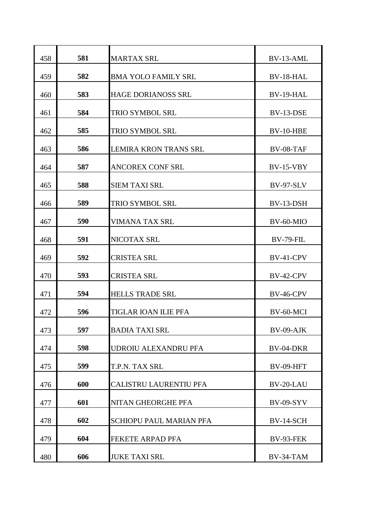| 458 | 581 | <b>MARTAX SRL</b>              | BV-13-AML        |
|-----|-----|--------------------------------|------------------|
| 459 | 582 | <b>BMA YOLO FAMILY SRL</b>     | BV-18-HAL        |
| 460 | 583 | <b>HAGE DORIANOSS SRL</b>      | BV-19-HAL        |
| 461 | 584 | <b>TRIO SYMBOL SRL</b>         | BV-13-DSE        |
| 462 | 585 | <b>TRIO SYMBOL SRL</b>         | BV-10-HBE        |
| 463 | 586 | <b>LEMIRA KRON TRANS SRL</b>   | $BV-08-TAF$      |
| 464 | 587 | <b>ANCOREX CONF SRL</b>        | $BV-15-VBY$      |
| 465 | 588 | <b>SIEM TAXI SRL</b>           | <b>BV-97-SLV</b> |
| 466 | 589 | TRIO SYMBOL SRL                | BV-13-DSH        |
| 467 | 590 | VIMANA TAX SRL                 | $BV-60-MIO$      |
| 468 | 591 | NICOTAX SRL                    | <b>BV-79-FIL</b> |
| 469 | 592 | <b>CRISTEA SRL</b>             | BV-41-CPV        |
| 470 | 593 | <b>CRISTEA SRL</b>             | BV-42-CPV        |
| 471 | 594 | <b>HELLS TRADE SRL</b>         | <b>BV-46-CPV</b> |
| 472 | 596 | TIGLAR IOAN ILIE PFA           | BV-60-MCI        |
| 473 | 597 | <b>BADIA TAXI SRL</b>          | BV-09-AJK        |
| 474 | 598 | <b>UDROIU ALEXANDRU PFA</b>    | BV-04-DKR        |
| 475 | 599 | T.P.N. TAX SRL                 | <b>BV-09-HFT</b> |
| 476 | 600 | CALISTRU LAURENTIU PFA         | BV-20-LAU        |
| 477 | 601 | NITAN GHEORGHE PFA             | <b>BV-09-SYV</b> |
| 478 | 602 | <b>SCHIOPU PAUL MARIAN PFA</b> | <b>BV-14-SCH</b> |
| 479 | 604 | <b>FEKETE ARPAD PFA</b>        | <b>BV-93-FEK</b> |
| 480 | 606 | <b>JUKE TAXI SRL</b>           | BV-34-TAM        |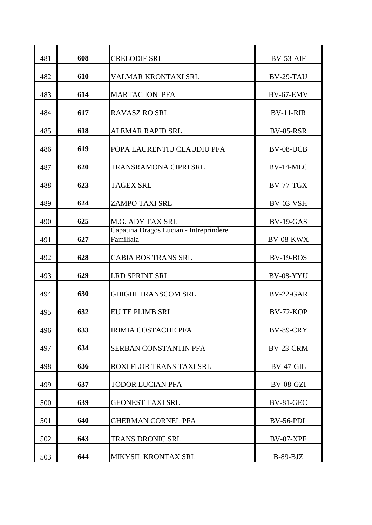| 481 | 608 | <b>CRELODIF SRL</b>                                 | $BV-53-AIF$      |
|-----|-----|-----------------------------------------------------|------------------|
| 482 | 610 | VALMAR KRONTAXI SRL                                 | BV-29-TAU        |
| 483 | 614 | <b>MARTAC ION PFA</b>                               | BV-67-EMV        |
| 484 | 617 | <b>RAVASZ RO SRL</b>                                | <b>BV-11-RIR</b> |
| 485 | 618 | <b>ALEMAR RAPID SRL</b>                             | <b>BV-85-RSR</b> |
| 486 | 619 | POPA LAURENTIU CLAUDIU PFA                          | BV-08-UCB        |
| 487 | 620 | <b>TRANSRAMONA CIPRI SRL</b>                        | BV-14-MLC        |
| 488 | 623 | <b>TAGEX SRL</b>                                    | $BV-77-TGX$      |
| 489 | 624 | ZAMPO TAXI SRL                                      | BV-03-VSH        |
| 490 | 625 | M.G. ADY TAX SRL                                    | BV-19-GAS        |
| 491 | 627 | Capatina Dragos Lucian - Intreprindere<br>Familiala | BV-08-KWX        |
| 492 | 628 | <b>CABIA BOS TRANS SRL</b>                          | <b>BV-19-BOS</b> |
| 493 | 629 | <b>LRD SPRINT SRL</b>                               | <b>BV-08-YYU</b> |
| 494 | 630 | <b>GHIGHI TRANSCOM SRL</b>                          | <b>BV-22-GAR</b> |
| 495 | 632 | <b>EU TE PLIMB SRL</b>                              | <b>BV-72-KOP</b> |
| 496 | 633 | <b>IRIMIA COSTACHE PFA</b>                          | <b>BV-89-CRY</b> |
| 497 | 634 | <b>SERBAN CONSTANTIN PFA</b>                        | BV-23-CRM        |
| 498 | 636 | ROXI FLOR TRANS TAXI SRL                            | <b>BV-47-GIL</b> |
| 499 | 637 | <b>TODOR LUCIAN PFA</b>                             | BV-08-GZI        |
| 500 | 639 | <b>GEONEST TAXI SRL</b>                             | <b>BV-81-GEC</b> |
| 501 | 640 | <b>GHERMAN CORNEL PFA</b>                           | BV-56-PDL        |
| 502 | 643 | <b>TRANS DRONIC SRL</b>                             | BV-07-XPE        |
| 503 | 644 | MIKYSIL KRONTAX SRL                                 | $B-89-BJZ$       |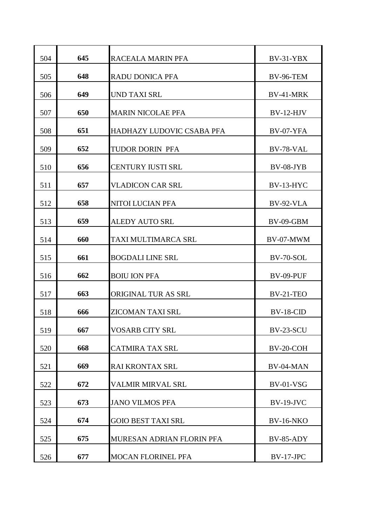| 504 | 645 | RACEALA MARIN PFA         | $BV-31-YBX$      |
|-----|-----|---------------------------|------------------|
| 505 | 648 | <b>RADU DONICA PFA</b>    | <b>BV-96-TEM</b> |
| 506 | 649 | <b>UND TAXI SRL</b>       | BV-41-MRK        |
| 507 | 650 | <b>MARIN NICOLAE PFA</b>  | $BV-12-HJV$      |
| 508 | 651 | HADHAZY LUDOVIC CSABA PFA | BV-07-YFA        |
| 509 | 652 | TUDOR DORIN PFA           | BV-78-VAL        |
| 510 | 656 | <b>CENTURY IUSTI SRL</b>  | BV-08-JYB        |
| 511 | 657 | <b>VLADICON CAR SRL</b>   | $BV-13-HYC$      |
| 512 | 658 | NITOI LUCIAN PFA          | <b>BV-92-VLA</b> |
| 513 | 659 | <b>ALEDY AUTO SRL</b>     | $BV-09-GBM$      |
| 514 | 660 | TAXI MULTIMARCA SRL       | BV-07-MWM        |
| 515 | 661 | <b>BOGDALI LINE SRL</b>   | <b>BV-70-SOL</b> |
| 516 | 662 | <b>BOIU ION PFA</b>       | BV-09-PUF        |
| 517 | 663 | ORIGINAL TUR AS SRL       | BV-21-TEO        |
| 518 | 666 | ZICOMAN TAXI SRL          | $BV-18-CID$      |
| 519 | 667 | <b>VOSARB CITY SRL</b>    | BV-23-SCU        |
| 520 | 668 | <b>CATMIRA TAX SRL</b>    | BV-20-COH        |
| 521 | 669 | RAI KRONTAX SRL           | BV-04-MAN        |
| 522 | 672 | <b>VALMIR MIRVAL SRL</b>  | BV-01-VSG        |
| 523 | 673 | <b>JANO VILMOS PFA</b>    | $BV-19-JVC$      |
| 524 | 674 | <b>GOIO BEST TAXI SRL</b> | <b>BV-16-NKO</b> |
| 525 | 675 | MURESAN ADRIAN FLORIN PFA | <b>BV-85-ADY</b> |
| 526 | 677 | <b>MOCAN FLORINEL PFA</b> | BV-17-JPC        |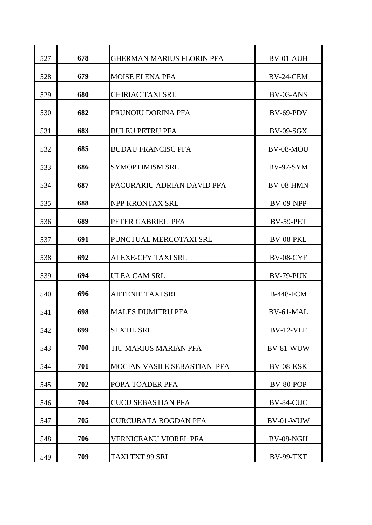| 527 | 678 | <b>GHERMAN MARIUS FLORIN PFA</b> | BV-01-AUH        |
|-----|-----|----------------------------------|------------------|
| 528 | 679 | <b>MOISE ELENA PFA</b>           | BV-24-CEM        |
| 529 | 680 | <b>CHIRIAC TAXI SRL</b>          | BV-03-ANS        |
| 530 | 682 | PRUNOIU DORINA PFA               | $BV-69-PDV$      |
| 531 | 683 | <b>BULEU PETRU PFA</b>           | <b>BV-09-SGX</b> |
| 532 | 685 | <b>BUDAU FRANCISC PFA</b>        | BV-08-MOU        |
| 533 | 686 | <b>SYMOPTIMISM SRL</b>           | <b>BV-97-SYM</b> |
| 534 | 687 | PACURARIU ADRIAN DAVID PFA       | BV-08-HMN        |
| 535 | 688 | NPP KRONTAX SRL                  | <b>BV-09-NPP</b> |
| 536 | 689 | PETER GABRIEL PFA                | BV-59-PET        |
| 537 | 691 | PUNCTUAL MERCOTAXI SRL           | BV-08-PKL        |
| 538 | 692 | <b>ALEXE-CFY TAXI SRL</b>        | <b>BV-08-CYF</b> |
| 539 | 694 | <b>ULEA CAM SRL</b>              | BV-79-PUK        |
| 540 | 696 | <b>ARTENIE TAXI SRL</b>          | <b>B-448-FCM</b> |
| 541 | 698 | <b>MALES DUMITRU PFA</b>         | BV-61-MAL        |
| 542 | 699 |                                  | <b>BV-12-VLF</b> |
|     |     | <b>SEXTIL SRL</b>                |                  |
| 543 | 700 | TIU MARIUS MARIAN PFA            | BV-81-WUW        |
| 544 | 701 | MOCIAN VASILE SEBASTIAN PFA      | <b>BV-08-KSK</b> |
| 545 | 702 | POPA TOADER PFA                  | BV-80-POP        |
| 546 | 704 | <b>CUCU SEBASTIAN PFA</b>        | BV-84-CUC        |
| 547 | 705 | <b>CURCUBATA BOGDAN PFA</b>      | BV-01-WUW        |
| 548 | 706 | <b>VERNICEANU VIOREL PFA</b>     | BV-08-NGH        |
| 549 | 709 | TAXI TXT 99 SRL                  | <b>BV-99-TXT</b> |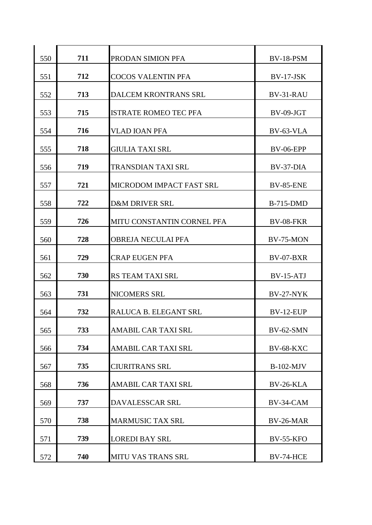| 550 | 711 | PRODAN SIMION PFA            | <b>BV-18-PSM</b> |
|-----|-----|------------------------------|------------------|
| 551 | 712 | <b>COCOS VALENTIN PFA</b>    | <b>BV-17-JSK</b> |
| 552 | 713 | DALCEM KRONTRANS SRL         | BV-31-RAU        |
| 553 | 715 | <b>ISTRATE ROMEO TEC PFA</b> | BV-09-JGT        |
| 554 | 716 | <b>VLAD IOAN PFA</b>         | BV-63-VLA        |
| 555 | 718 | <b>GIULIA TAXI SRL</b>       | <b>BV-06-EPP</b> |
| 556 | 719 | <b>TRANSDIAN TAXI SRL</b>    | BV-37-DIA        |
| 557 | 721 | MICRODOM IMPACT FAST SRL     | <b>BV-85-ENE</b> |
| 558 | 722 | <b>D&amp;M DRIVER SRL</b>    | <b>B-715-DMD</b> |
| 559 | 726 | MITU CONSTANTIN CORNEL PFA   | <b>BV-08-FKR</b> |
| 560 | 728 | <b>OBREJA NECULAI PFA</b>    | BV-75-MON        |
| 561 | 729 | <b>CRAP EUGEN PFA</b>        | <b>BV-07-BXR</b> |
| 562 | 730 | RS TEAM TAXI SRL             | $BV-15-ATJ$      |
| 563 | 731 | NICOMERS SRL                 | BV-27-NYK        |
| 564 | 732 | RALUCA B. ELEGANT SRL        | BV-12-EUP        |
| 565 | 733 | <b>AMABIL CAR TAXI SRL</b>   | BV-62-SMN        |
| 566 | 734 | <b>AMABIL CAR TAXI SRL</b>   | <b>BV-68-KXC</b> |
| 567 | 735 | <b>CIURITRANS SRL</b>        | $B-102-MJV$      |
| 568 | 736 | <b>AMABIL CAR TAXI SRL</b>   | BV-26-KLA        |
| 569 | 737 | <b>DAVALESSCAR SRL</b>       | BV-34-CAM        |
| 570 | 738 | <b>MARMUSIC TAX SRL</b>      | BV-26-MAR        |
| 571 | 739 | <b>LOREDI BAY SRL</b>        | <b>BV-55-KFO</b> |
| 572 | 740 | <b>MITU VAS TRANS SRL</b>    | <b>BV-74-HCE</b> |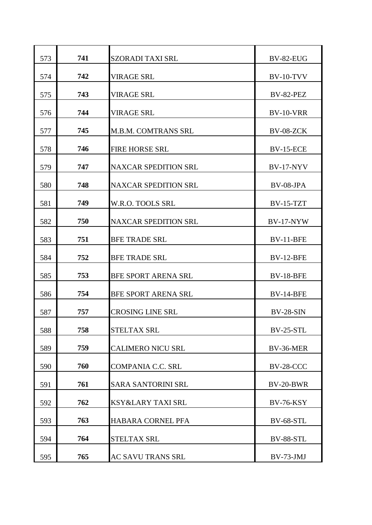| 573 | 741 | <b>SZORADI TAXI SRL</b>     | BV-82-EUG        |
|-----|-----|-----------------------------|------------------|
| 574 | 742 | <b>VIRAGE SRL</b>           | <b>BV-10-TVV</b> |
| 575 | 743 | <b>VIRAGE SRL</b>           | <b>BV-82-PEZ</b> |
| 576 | 744 | <b>VIRAGE SRL</b>           | BV-10-VRR        |
| 577 | 745 | <b>M.B.M. COMTRANS SRL</b>  | BV-08-ZCK        |
| 578 | 746 | <b>FIRE HORSE SRL</b>       | <b>BV-15-ECE</b> |
| 579 | 747 | <b>NAXCAR SPEDITION SRL</b> | <b>BV-17-NYV</b> |
| 580 | 748 | <b>NAXCAR SPEDITION SRL</b> | $BV-08-JPA$      |
| 581 | 749 | W.R.O. TOOLS SRL            | <b>BV-15-TZT</b> |
| 582 | 750 | <b>NAXCAR SPEDITION SRL</b> | <b>BV-17-NYW</b> |
| 583 | 751 | <b>BFE TRADE SRL</b>        | BV-11-BFE        |
| 584 | 752 | <b>BFE TRADE SRL</b>        | <b>BV-12-BFE</b> |
| 585 | 753 | <b>BFE SPORT ARENA SRL</b>  | <b>BV-18-BFE</b> |
| 586 | 754 | <b>BFE SPORT ARENA SRL</b>  | <b>BV-14-BFE</b> |
| 587 | 757 | <b>CROSING LINE SRL</b>     | $BV-28-SIN$      |
| 588 | 758 | <b>STELTAX SRL</b>          | <b>BV-25-STL</b> |
| 589 | 759 | <b>CALIMERO NICU SRL</b>    | BV-36-MER        |
| 590 | 760 | <b>COMPANIA C.C. SRL</b>    | <b>BV-28-CCC</b> |
| 591 | 761 | <b>SARA SANTORINI SRL</b>   | BV-20-BWR        |
| 592 | 762 | KSY&LARY TAXI SRL           | <b>BV-76-KSY</b> |
| 593 | 763 | <b>HABARA CORNEL PFA</b>    | <b>BV-68-STL</b> |
| 594 | 764 | <b>STELTAX SRL</b>          | <b>BV-88-STL</b> |
| 595 | 765 | AC SAVU TRANS SRL           | BV-73-JMJ        |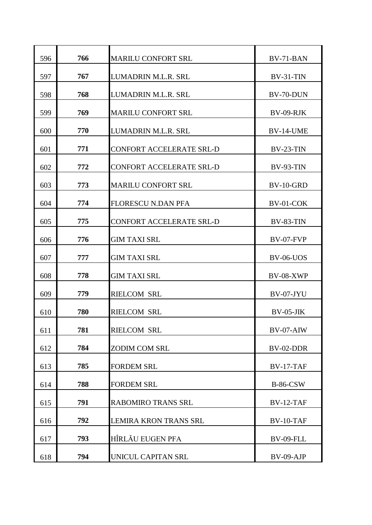| 596 | 766 | <b>MARILU CONFORT SRL</b>       | BV-71-BAN        |
|-----|-----|---------------------------------|------------------|
| 597 | 767 | LUMADRIN M.L.R. SRL             | $BV-31-TIN$      |
| 598 | 768 | LUMADRIN M.L.R. SRL             | BV-70-DUN        |
| 599 | 769 | <b>MARILU CONFORT SRL</b>       | BV-09-RJK        |
| 600 | 770 | LUMADRIN M.L.R. SRL             | BV-14-UME        |
| 601 | 771 | CONFORT ACCELERATE SRL-D        | $BV-23-TIN$      |
| 602 | 772 | <b>CONFORT ACCELERATE SRL-D</b> | <b>BV-93-TIN</b> |
| 603 | 773 | <b>MARILU CONFORT SRL</b>       | <b>BV-10-GRD</b> |
| 604 | 774 | <b>FLORESCU N.DAN PFA</b>       | BV-01-COK        |
| 605 | 775 | CONFORT ACCELERATE SRL-D        | <b>BV-83-TIN</b> |
| 606 | 776 | <b>GIM TAXI SRL</b>             | BV-07-FVP        |
| 607 | 777 | <b>GIM TAXI SRL</b>             | <b>BV-06-UOS</b> |
| 608 | 778 | <b>GIM TAXI SRL</b>             | <b>BV-08-XWP</b> |
| 609 | 779 | <b>RIELCOM SRL</b>              | BV-07-JYU        |
| 610 | 780 | <b>RIELCOM SRL</b>              | $BV-05-JIK$      |
| 611 | 781 | <b>RIELCOM SRL</b>              | BV-07-AIW        |
| 612 | 784 | <b>ZODIM COM SRL</b>            | BV-02-DDR        |
| 613 | 785 | <b>FORDEM SRL</b>               | $BV-17-TAF$      |
| 614 | 788 | <b>FORDEM SRL</b>               | <b>B-86-CSW</b>  |
| 615 | 791 | <b>RABOMIRO TRANS SRL</b>       | BV-12-TAF        |
| 616 | 792 | <b>LEMIRA KRON TRANS SRL</b>    | BV-10-TAF        |
| 617 | 793 | <b>HÎRLĂU EUGEN PFA</b>         | <b>BV-09-FLL</b> |
| 618 | 794 | UNICUL CAPITAN SRL              | BV-09-AJP        |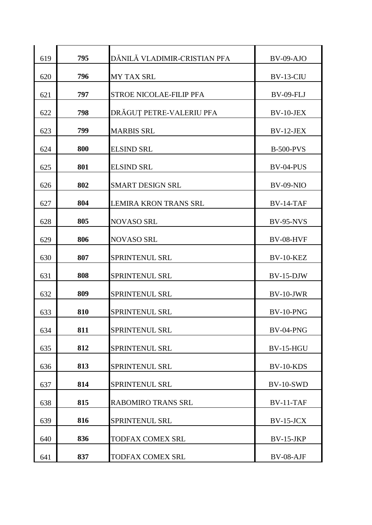| 619 | 795 | DĂNILĂ VLADIMIR-CRISTIAN PFA | $BV-09-AJO$      |
|-----|-----|------------------------------|------------------|
| 620 | 796 | <b>MY TAX SRL</b>            | BV-13-CIU        |
| 621 | 797 | STROE NICOLAE-FILIP PFA      | <b>BV-09-FLJ</b> |
| 622 | 798 | DRĂGUȚ PETRE-VALERIU PFA     | $BV-10-JEX$      |
| 623 | 799 | <b>MARBIS SRL</b>            | $BV-12-JEX$      |
| 624 | 800 | <b>ELSIND SRL</b>            | <b>B-500-PVS</b> |
| 625 | 801 | <b>ELSIND SRL</b>            | BV-04-PUS        |
| 626 | 802 | <b>SMART DESIGN SRL</b>      | <b>BV-09-NIO</b> |
| 627 | 804 | <b>LEMIRA KRON TRANS SRL</b> | $BV-14-TAF$      |
| 628 | 805 | <b>NOVASO SRL</b>            | <b>BV-95-NVS</b> |
| 629 | 806 | <b>NOVASO SRL</b>            | <b>BV-08-HVF</b> |
| 630 | 807 | <b>SPRINTENUL SRL</b>        | <b>BV-10-KEZ</b> |
| 631 | 808 | <b>SPRINTENUL SRL</b>        | $BV-15-DJW$      |
| 632 | 809 | SPRINTENUL SRL               | BV-10-JWR        |
| 633 | 810 | <b>SPRINTENUL SRL</b>        | BV-10-PNG        |
| 634 | 811 | SPRINTENUL SRL               | BV-04-PNG        |
| 635 | 812 | SPRINTENUL SRL               | <b>BV-15-HGU</b> |
| 636 | 813 | SPRINTENUL SRL               | BV-10-KDS        |
| 637 | 814 | SPRINTENUL SRL               | <b>BV-10-SWD</b> |
| 638 | 815 | <b>RABOMIRO TRANS SRL</b>    | $BV-11-TAF$      |
| 639 | 816 | SPRINTENUL SRL               | $BV-15-JCX$      |
| 640 | 836 | <b>TODFAX COMEX SRL</b>      | $BV-15-JKP$      |
| 641 | 837 | TODFAX COMEX SRL             | BV-08-AJF        |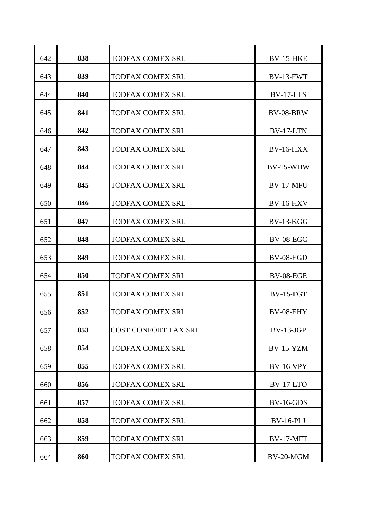| 642 | 838 | <b>TODFAX COMEX SRL</b>     | <b>BV-15-HKE</b> |
|-----|-----|-----------------------------|------------------|
| 643 | 839 | <b>TODFAX COMEX SRL</b>     | $BV-13-FWT$      |
| 644 | 840 | <b>TODFAX COMEX SRL</b>     | BV-17-LTS        |
| 645 | 841 | <b>TODFAX COMEX SRL</b>     | <b>BV-08-BRW</b> |
| 646 | 842 | <b>TODFAX COMEX SRL</b>     | BV-17-LTN        |
| 647 | 843 | <b>TODFAX COMEX SRL</b>     | <b>BV-16-HXX</b> |
| 648 | 844 | <b>TODFAX COMEX SRL</b>     | <b>BV-15-WHW</b> |
| 649 | 845 | <b>TODFAX COMEX SRL</b>     | BV-17-MFU        |
| 650 | 846 | <b>TODFAX COMEX SRL</b>     | <b>BV-16-HXV</b> |
| 651 | 847 | <b>TODFAX COMEX SRL</b>     | $BV-13-KGG$      |
| 652 | 848 | <b>TODFAX COMEX SRL</b>     | BV-08-EGC        |
| 653 | 849 | <b>TODFAX COMEX SRL</b>     | BV-08-EGD        |
| 654 | 850 | <b>TODFAX COMEX SRL</b>     | BV-08-EGE        |
| 655 | 851 | <b>TODFAX COMEX SRL</b>     | <b>BV-15-FGT</b> |
| 656 | 852 | <b>TODFAX COMEX SRL</b>     | BV-08-EHY        |
| 657 | 853 | <b>COST CONFORT TAX SRL</b> | $BV-13-JGP$      |
| 658 | 854 | <b>TODFAX COMEX SRL</b>     | $BV-15-YZM$      |
| 659 | 855 | TODFAX COMEX SRL            | <b>BV-16-VPY</b> |
| 660 | 856 | <b>TODFAX COMEX SRL</b>     | BV-17-LTO        |
| 661 | 857 | TODFAX COMEX SRL            | $BV-16-GDS$      |
| 662 | 858 | TODFAX COMEX SRL            | <b>BV-16-PLJ</b> |
| 663 | 859 | <b>TODFAX COMEX SRL</b>     | <b>BV-17-MFT</b> |
| 664 | 860 | <b>TODFAX COMEX SRL</b>     | BV-20-MGM        |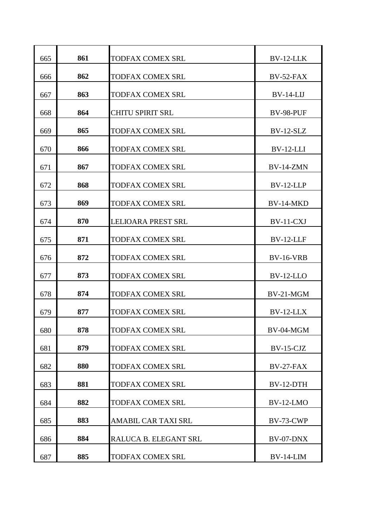| 665 | 861 | <b>TODFAX COMEX SRL</b>    | BV-12-LLK        |
|-----|-----|----------------------------|------------------|
| 666 | 862 | <b>TODFAX COMEX SRL</b>    | BV-52-FAX        |
| 667 | 863 | <b>TODFAX COMEX SRL</b>    | $BV-14-LIJ$      |
| 668 | 864 | <b>CHITU SPIRIT SRL</b>    | BV-98-PUF        |
| 669 | 865 | <b>TODFAX COMEX SRL</b>    | $BV-12-SLZ$      |
| 670 | 866 | <b>TODFAX COMEX SRL</b>    | $BV-12-LLI$      |
| 671 | 867 | <b>TODFAX COMEX SRL</b>    | BV-14-ZMN        |
| 672 | 868 | <b>TODFAX COMEX SRL</b>    | $BV-12-LLP$      |
| 673 | 869 | <b>TODFAX COMEX SRL</b>    | BV-14-MKD        |
| 674 | 870 | <b>LELIOARA PREST SRL</b>  | BV-11-CXJ        |
| 675 | 871 | <b>TODFAX COMEX SRL</b>    | BV-12-LLF        |
| 676 | 872 | <b>TODFAX COMEX SRL</b>    | <b>BV-16-VRB</b> |
| 677 | 873 | <b>TODFAX COMEX SRL</b>    | $BV-12-LLO$      |
| 678 | 874 | <b>TODFAX COMEX SRL</b>    | BV-21-MGM        |
| 679 | 877 | <b>TODFAX COMEX SRL</b>    | BV-12-LLX        |
| 680 | 878 | <b>TODFAX COMEX SRL</b>    | BV-04-MGM        |
| 681 | 879 | <b>TODFAX COMEX SRL</b>    | $BV-15-CJZ$      |
| 682 | 880 | TODFAX COMEX SRL           | $BV-27-FAX$      |
| 683 | 881 | <b>TODFAX COMEX SRL</b>    | BV-12-DTH        |
| 684 | 882 | <b>TODFAX COMEX SRL</b>    | <b>BV-12-LMO</b> |
| 685 | 883 | <b>AMABIL CAR TAXI SRL</b> | BV-73-CWP        |
| 686 | 884 | RALUCA B. ELEGANT SRL      | BV-07-DNX        |
| 687 | 885 | <b>TODFAX COMEX SRL</b>    | $BV-14-LIM$      |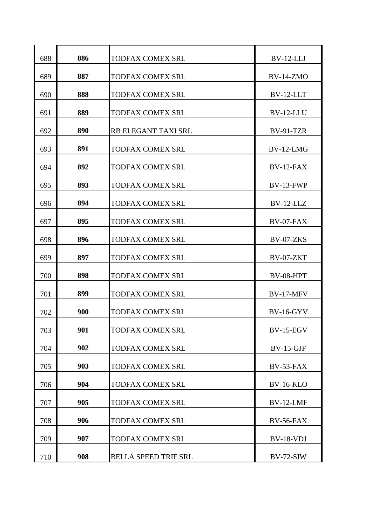| 688 | 886 | <b>TODFAX COMEX SRL</b>     | $BV-12-LLJ$      |
|-----|-----|-----------------------------|------------------|
| 689 | 887 | <b>TODFAX COMEX SRL</b>     | <b>BV-14-ZMO</b> |
| 690 | 888 | <b>TODFAX COMEX SRL</b>     | BV-12-LLT        |
| 691 | 889 | <b>TODFAX COMEX SRL</b>     | BV-12-LLU        |
| 692 | 890 | RB ELEGANT TAXI SRL         | <b>BV-91-TZR</b> |
| 693 | 891 | <b>TODFAX COMEX SRL</b>     | $BV-12-LMG$      |
| 694 | 892 | <b>TODFAX COMEX SRL</b>     | BV-12-FAX        |
| 695 | 893 | <b>TODFAX COMEX SRL</b>     | BV-13-FWP        |
| 696 | 894 | <b>TODFAX COMEX SRL</b>     | $BV-12-LLZ$      |
| 697 | 895 | <b>TODFAX COMEX SRL</b>     | BV-07-FAX        |
| 698 | 896 | <b>TODFAX COMEX SRL</b>     | BV-07-ZKS        |
| 699 | 897 | <b>TODFAX COMEX SRL</b>     | BV-07-ZKT        |
| 700 | 898 | <b>TODFAX COMEX SRL</b>     | BV-08-HPT        |
| 701 | 899 | <b>TODFAX COMEX SRL</b>     | <b>BV-17-MFV</b> |
| 702 | 900 | <b>TODFAX COMEX SRL</b>     | <b>BV-16-GYV</b> |
| 703 | 901 | TODFAX COMEX SRL            | <b>BV-15-EGV</b> |
| 704 | 902 | <b>TODFAX COMEX SRL</b>     | $BV-15-GJF$      |
| 705 | 903 | TODFAX COMEX SRL            | BV-53-FAX        |
| 706 | 904 | <b>TODFAX COMEX SRL</b>     | <b>BV-16-KLO</b> |
| 707 | 905 | TODFAX COMEX SRL            | BV-12-LMF        |
| 708 | 906 | TODFAX COMEX SRL            | BV-56-FAX        |
| 709 | 907 | <b>TODFAX COMEX SRL</b>     | BV-18-VDJ        |
| 710 | 908 | <b>BELLA SPEED TRIF SRL</b> | $BV-72-SIW$      |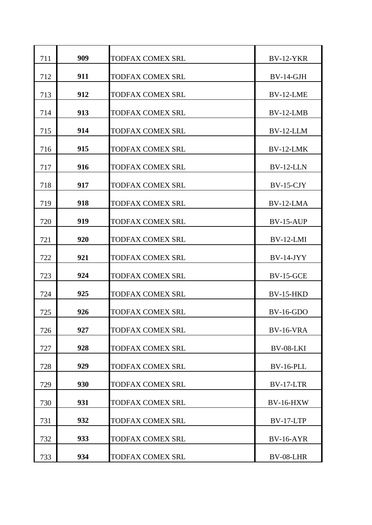| 711 | 909 | <b>TODFAX COMEX SRL</b> | <b>BV-12-YKR</b> |
|-----|-----|-------------------------|------------------|
| 712 | 911 | <b>TODFAX COMEX SRL</b> | $BV-14-GJH$      |
| 713 | 912 | <b>TODFAX COMEX SRL</b> | BV-12-LME        |
| 714 | 913 | <b>TODFAX COMEX SRL</b> | BV-12-LMB        |
| 715 | 914 | <b>TODFAX COMEX SRL</b> | BV-12-LLM        |
| 716 | 915 | <b>TODFAX COMEX SRL</b> | $BV-12-LMK$      |
| 717 | 916 | <b>TODFAX COMEX SRL</b> | $BV-12-LLN$      |
| 718 | 917 | <b>TODFAX COMEX SRL</b> | $BV-15-CJY$      |
| 719 | 918 | <b>TODFAX COMEX SRL</b> | $BV-12-LMA$      |
| 720 | 919 | <b>TODFAX COMEX SRL</b> | <b>BV-15-AUP</b> |
| 721 | 920 | <b>TODFAX COMEX SRL</b> | $BV-12-LMI$      |
| 722 | 921 | <b>TODFAX COMEX SRL</b> | $BV-14-JYY$      |
| 723 | 924 | <b>TODFAX COMEX SRL</b> | <b>BV-15-GCE</b> |
| 724 | 925 | <b>TODFAX COMEX SRL</b> | <b>BV-15-HKD</b> |
| 725 | 926 | <b>TODFAX COMEX SRL</b> | <b>BV-16-GDO</b> |
| 726 | 927 | <b>TODFAX COMEX SRL</b> | <b>BV-16-VRA</b> |
| 727 | 928 | <b>TODFAX COMEX SRL</b> | BV-08-LKI        |
| 728 | 929 | <b>TODFAX COMEX SRL</b> | <b>BV-16-PLL</b> |
| 729 | 930 | <b>TODFAX COMEX SRL</b> | BV-17-LTR        |
| 730 | 931 | <b>TODFAX COMEX SRL</b> | <b>BV-16-HXW</b> |
| 731 | 932 | <b>TODFAX COMEX SRL</b> | BV-17-LTP        |
| 732 | 933 | <b>TODFAX COMEX SRL</b> | <b>BV-16-AYR</b> |
| 733 | 934 | <b>TODFAX COMEX SRL</b> | BV-08-LHR        |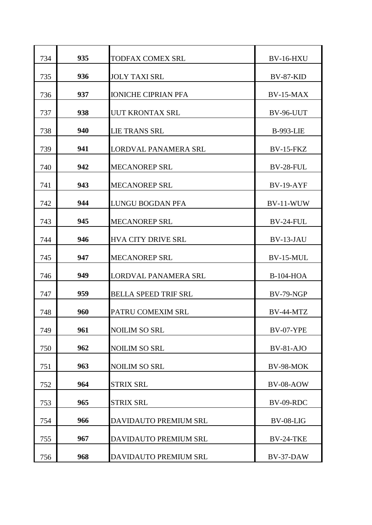| 734 | 935 | <b>TODFAX COMEX SRL</b>     | <b>BV-16-HXU</b> |
|-----|-----|-----------------------------|------------------|
| 735 | 936 | <b>JOLY TAXI SRL</b>        | <b>BV-87-KID</b> |
| 736 | 937 | <b>IONICHE CIPRIAN PFA</b>  | $BV-15-MAX$      |
| 737 | 938 | <b>UUT KRONTAX SRL</b>      | BV-96-UUT        |
| 738 | 940 | <b>LIE TRANS SRL</b>        | <b>B-993-LIE</b> |
| 739 | 941 | LORDVAL PANAMERA SRL        | $BV-15-FKZ$      |
| 740 | 942 | <b>MECANOREP SRL</b>        | BV-28-FUL        |
| 741 | 943 | <b>MECANOREP SRL</b>        | <b>BV-19-AYF</b> |
| 742 | 944 | <b>LUNGU BOGDAN PFA</b>     | BV-11-WUW        |
| 743 | 945 | <b>MECANOREP SRL</b>        | BV-24-FUL        |
| 744 | 946 | <b>HVA CITY DRIVE SRL</b>   | BV-13-JAU        |
| 745 | 947 | <b>MECANOREP SRL</b>        | BV-15-MUL        |
| 746 | 949 | LORDVAL PANAMERA SRL        | <b>B-104-HOA</b> |
| 747 | 959 | <b>BELLA SPEED TRIF SRL</b> | <b>BV-79-NGP</b> |
| 748 | 960 | PATRU COMEXIM SRL           | BV-44-MTZ        |
|     |     |                             |                  |
| 749 | 961 | <b>NOILIM SO SRL</b>        | <b>BV-07-YPE</b> |
| 750 | 962 | <b>NOILIM SO SRL</b>        | $BV-81-AJO$      |
| 751 | 963 | <b>NOILIM SO SRL</b>        | BV-98-MOK        |
| 752 | 964 | <b>STRIX SRL</b>            | BV-08-AOW        |
| 753 | 965 | <b>STRIX SRL</b>            | BV-09-RDC        |
| 754 | 966 | DAVIDAUTO PREMIUM SRL       | BV-08-LIG        |
| 755 | 967 | DAVIDAUTO PREMIUM SRL       | BV-24-TKE        |
| 756 | 968 | DAVIDAUTO PREMIUM SRL       | BV-37-DAW        |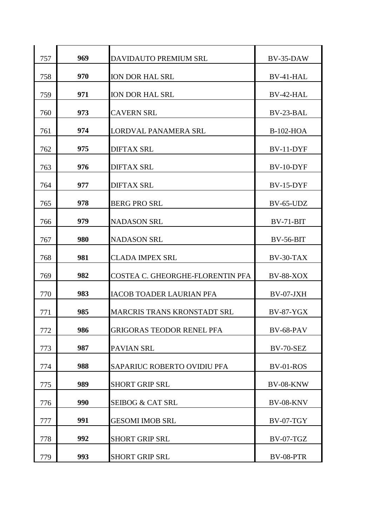| 757 | 969 | DAVIDAUTO PREMIUM SRL              | BV-35-DAW        |
|-----|-----|------------------------------------|------------------|
| 758 | 970 | <b>ION DOR HAL SRL</b>             | BV-41-HAL        |
| 759 | 971 | <b>ION DOR HAL SRL</b>             | BV-42-HAL        |
| 760 | 973 | <b>CAVERN SRL</b>                  | BV-23-BAL        |
| 761 | 974 | LORDVAL PANAMERA SRL               | <b>B-102-HOA</b> |
| 762 | 975 | <b>DIFTAX SRL</b>                  | BV-11-DYF        |
| 763 | 976 | <b>DIFTAX SRL</b>                  | BV-10-DYF        |
| 764 | 977 | <b>DIFTAX SRL</b>                  | <b>BV-15-DYF</b> |
| 765 | 978 | <b>BERG PRO SRL</b>                | BV-65-UDZ        |
| 766 | 979 | <b>NADASON SRL</b>                 | $BV-71-BIT$      |
| 767 | 980 | <b>NADASON SRL</b>                 | $BV-56-BIT$      |
| 768 | 981 | <b>CLADA IMPEX SRL</b>             | BV-30-TAX        |
| 769 | 982 | COSTEA C. GHEORGHE-FLORENTIN PFA   | <b>BV-88-XOX</b> |
| 770 | 983 | <b>IACOB TOADER LAURIAN PFA</b>    | BV-07-JXH        |
| 771 | 985 | <b>MARCRIS TRANS KRONSTADT SRL</b> | <b>BV-87-YGX</b> |
|     |     |                                    |                  |
| 772 | 986 | <b>GRIGORAS TEODOR RENEL PFA</b>   | BV-68-PAV        |
| 773 | 987 | <b>PAVIAN SRL</b>                  | <b>BV-70-SEZ</b> |
| 774 | 988 | SAPARIUC ROBERTO OVIDIU PFA        | BV-01-ROS        |
| 775 | 989 | <b>SHORT GRIP SRL</b>              | BV-08-KNW        |
| 776 | 990 | <b>SEIBOG &amp; CAT SRL</b>        | <b>BV-08-KNV</b> |
| 777 | 991 | <b>GESOMI IMOB SRL</b>             | BV-07-TGY        |
| 778 | 992 | <b>SHORT GRIP SRL</b>              | <b>BV-07-TGZ</b> |
| 779 | 993 | <b>SHORT GRIP SRL</b>              | <b>BV-08-PTR</b> |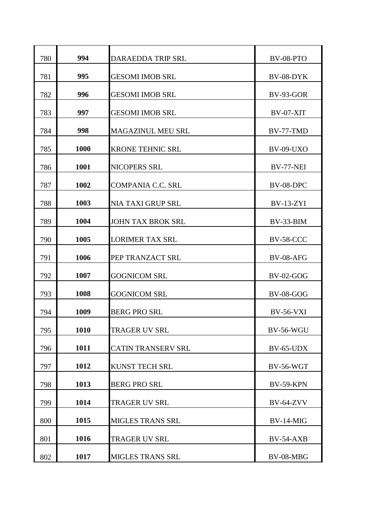| 780 | 994  | <b>DARAEDDA TRIP SRL</b>  | BV-08-PTO        |
|-----|------|---------------------------|------------------|
| 781 | 995  | <b>GESOMI IMOB SRL</b>    | BV-08-DYK        |
| 782 | 996  | <b>GESOMI IMOB SRL</b>    | BV-93-GOR        |
| 783 | 997  | <b>GESOMI IMOB SRL</b>    | BV-07-XIT        |
| 784 | 998  | <b>MAGAZINUL MEU SRL</b>  | BV-77-TMD        |
| 785 | 1000 | <b>KRONE TEHNIC SRL</b>   | <b>BV-09-UXO</b> |
| 786 | 1001 | NICOPERS SRL              | BV-77-NEI        |
| 787 | 1002 | <b>COMPANIA C.C. SRL</b>  | BV-08-DPC        |
| 788 | 1003 | NIA TAXI GRUP SRL         | <b>BV-13-ZYI</b> |
| 789 | 1004 | <b>JOHN TAX BROK SRL</b>  | BV-33-BIM        |
| 790 | 1005 | <b>LORIMER TAX SRL</b>    | <b>BV-58-CCC</b> |
| 791 | 1006 | PEP TRANZACT SRL          | <b>BV-08-AFG</b> |
| 792 | 1007 | <b>GOGNICOM SRL</b>       | <b>BV-02-GOG</b> |
| 793 | 1008 | <b>GOGNICOM SRL</b>       | <b>BV-08-GOG</b> |
| 794 | 1009 | <b>BERG PRO SRL</b>       | <b>BV-56-VXI</b> |
| 795 | 1010 | <b>TRAGER UV SRL</b>      | <b>BV-56-WGU</b> |
| 796 | 1011 | <b>CATIN TRANSERV SRL</b> | BV-65-UDX        |
| 797 | 1012 | <b>KUNST TECH SRL</b>     | <b>BV-56-WGT</b> |
| 798 | 1013 | <b>BERG PRO SRL</b>       | <b>BV-59-KPN</b> |
| 799 | 1014 | <b>TRAGER UV SRL</b>      | <b>BV-64-ZVV</b> |
| 800 | 1015 | <b>MIGLES TRANS SRL</b>   | $BV-14-MIG$      |
| 801 | 1016 | <b>TRAGER UV SRL</b>      | <b>BV-54-AXB</b> |
| 802 | 1017 | MIGLES TRANS SRL          | BV-08-MBG        |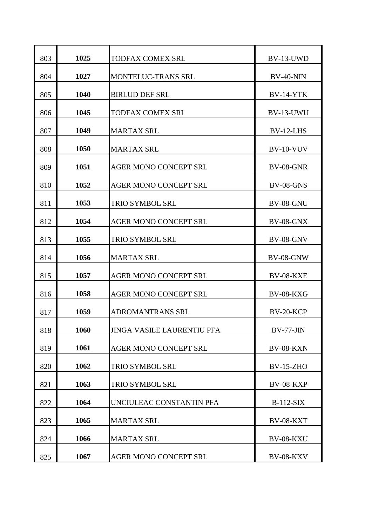| 803 | 1025 | <b>TODFAX COMEX SRL</b>            | BV-13-UWD        |
|-----|------|------------------------------------|------------------|
| 804 | 1027 | <b>MONTELUC-TRANS SRL</b>          | $BV-40-NIN$      |
| 805 | 1040 | <b>BIRLUD DEF SRL</b>              | <b>BV-14-YTK</b> |
| 806 | 1045 | <b>TODFAX COMEX SRL</b>            | BV-13-UWU        |
| 807 | 1049 | <b>MARTAX SRL</b>                  | BV-12-LHS        |
| 808 | 1050 | <b>MARTAX SRL</b>                  | <b>BV-10-VUV</b> |
| 809 | 1051 | <b>AGER MONO CONCEPT SRL</b>       | <b>BV-08-GNR</b> |
| 810 | 1052 | <b>AGER MONO CONCEPT SRL</b>       | <b>BV-08-GNS</b> |
| 811 | 1053 | <b>TRIO SYMBOL SRL</b>             | <b>BV-08-GNU</b> |
| 812 | 1054 | <b>AGER MONO CONCEPT SRL</b>       | <b>BV-08-GNX</b> |
| 813 | 1055 | TRIO SYMBOL SRL                    | <b>BV-08-GNV</b> |
| 814 | 1056 | <b>MARTAX SRL</b>                  | <b>BV-08-GNW</b> |
| 815 | 1057 | <b>AGER MONO CONCEPT SRL</b>       | <b>BV-08-KXE</b> |
| 816 | 1058 | <b>AGER MONO CONCEPT SRL</b>       | <b>BV-08-KXG</b> |
| 817 | 1059 | <b>ADROMANTRANS SRL</b>            | BV-20-KCP        |
| 818 | 1060 | <b>JINGA VASILE LAURENTIU PFA</b>  | BV-77-JIN        |
| 819 | 1061 | <b>AGER MONO CONCEPT SRL</b>       | <b>BV-08-KXN</b> |
| 820 | 1062 |                                    | <b>BV-15-ZHO</b> |
|     | 1063 | TRIO SYMBOL SRL<br>TRIO SYMBOL SRL | <b>BV-08-KXP</b> |
| 821 |      |                                    |                  |
| 822 | 1064 | UNCIULEAC CONSTANTIN PFA           | <b>B-112-SIX</b> |
| 823 | 1065 | <b>MARTAX SRL</b>                  | <b>BV-08-KXT</b> |
| 824 | 1066 | <b>MARTAX SRL</b>                  | BV-08-KXU        |
| 825 | 1067 | AGER MONO CONCEPT SRL              | <b>BV-08-KXV</b> |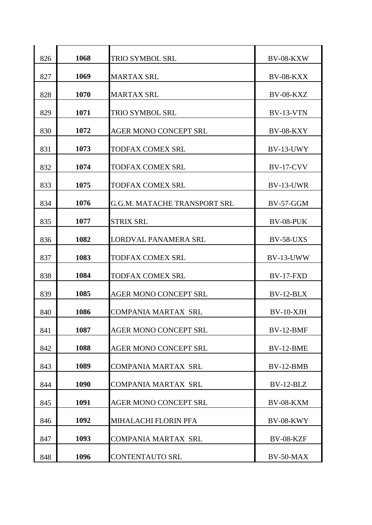| 826 | 1068 | <b>TRIO SYMBOL SRL</b>              | BV-08-KXW        |
|-----|------|-------------------------------------|------------------|
| 827 | 1069 | <b>MARTAX SRL</b>                   | <b>BV-08-KXX</b> |
| 828 | 1070 | <b>MARTAX SRL</b>                   | <b>BV-08-KXZ</b> |
| 829 | 1071 | <b>TRIO SYMBOL SRL</b>              | $BV-13-VTN$      |
| 830 | 1072 | <b>AGER MONO CONCEPT SRL</b>        | <b>BV-08-KXY</b> |
| 831 | 1073 | <b>TODFAX COMEX SRL</b>             | BV-13-UWY        |
| 832 | 1074 | <b>TODFAX COMEX SRL</b>             | <b>BV-17-CVV</b> |
| 833 | 1075 | <b>TODFAX COMEX SRL</b>             | BV-13-UWR        |
| 834 | 1076 | <b>G.G.M. MATACHE TRANSPORT SRL</b> | <b>BV-57-GGM</b> |
| 835 | 1077 | <b>STRIX SRL</b>                    | BV-08-PUK        |
| 836 | 1082 | LORDVAL PANAMERA SRL                | <b>BV-58-UXS</b> |
| 837 | 1083 | <b>TODFAX COMEX SRL</b>             | BV-13-UWW        |
| 838 | 1084 | <b>TODFAX COMEX SRL</b>             | <b>BV-17-FXD</b> |
| 839 | 1085 | <b>AGER MONO CONCEPT SRL</b>        | $BV-12-BLX$      |
| 840 | 1086 | <b>COMPANIA MARTAX SRL</b>          | BV-10-XJH        |
| 841 | 1087 | <b>AGER MONO CONCEPT SRL</b>        | BV-12-BMF        |
| 842 | 1088 | <b>AGER MONO CONCEPT SRL</b>        | BV-12-BME        |
| 843 | 1089 | <b>COMPANIA MARTAX SRL</b>          | $BV-12-BMB$      |
| 844 | 1090 | <b>COMPANIA MARTAX SRL</b>          | $BV-12-BLZ$      |
| 845 | 1091 | <b>AGER MONO CONCEPT SRL</b>        | BV-08-KXM        |
| 846 | 1092 | <b>MIHALACHI FLORIN PFA</b>         | BV-08-KWY        |
| 847 | 1093 | <b>COMPANIA MARTAX SRL</b>          | BV-08-KZF        |
| 848 | 1096 | CONTENTAUTO SRL                     | BV-50-MAX        |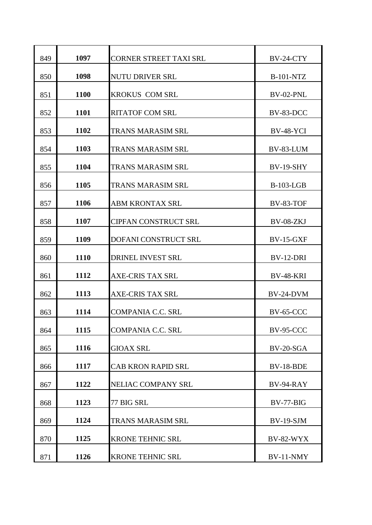| 849 | 1097 | <b>CORNER STREET TAXI SRL</b> | BV-24-CTY        |
|-----|------|-------------------------------|------------------|
| 850 | 1098 | <b>NUTU DRIVER SRL</b>        | <b>B-101-NTZ</b> |
| 851 | 1100 | <b>KROKUS COM SRL</b>         | BV-02-PNL        |
| 852 | 1101 | <b>RITATOF COM SRL</b>        | BV-83-DCC        |
| 853 | 1102 | <b>TRANS MARASIM SRL</b>      | <b>BV-48-YCI</b> |
| 854 | 1103 | TRANS MARASIM SRL             | BV-83-LUM        |
| 855 | 1104 | <b>TRANS MARASIM SRL</b>      | <b>BV-19-SHY</b> |
| 856 | 1105 | TRANS MARASIM SRL             | <b>B-103-LGB</b> |
| 857 | 1106 | <b>ABM KRONTAX SRL</b>        | <b>BV-83-TOF</b> |
| 858 | 1107 | <b>CIPFAN CONSTRUCT SRL</b>   | BV-08-ZKJ        |
| 859 | 1109 | <b>DOFANI CONSTRUCT SRL</b>   | <b>BV-15-GXF</b> |
| 860 | 1110 | DRINEL INVEST SRL             | BV-12-DRI        |
| 861 | 1112 | <b>AXE-CRIS TAX SRL</b>       | <b>BV-48-KRI</b> |
| 862 | 1113 | <b>AXE-CRIS TAX SRL</b>       | BV-24-DVM        |
| 863 | 1114 | <b>COMPANIA C.C. SRL</b>      | <b>BV-65-CCC</b> |
| 864 | 1115 | <b>COMPANIA C.C. SRL</b>      | <b>BV-95-CCC</b> |
| 865 | 1116 | <b>GIOAX SRL</b>              | BV-20-SGA        |
| 866 | 1117 | <b>CAB KRON RAPID SRL</b>     | BV-18-BDE        |
| 867 | 1122 | NELIAC COMPANY SRL            | BV-94-RAY        |
| 868 | 1123 | 77 BIG SRL                    | BV-77-BIG        |
| 869 | 1124 | TRANS MARASIM SRL             | <b>BV-19-SJM</b> |
| 870 | 1125 | <b>KRONE TEHNIC SRL</b>       | <b>BV-82-WYX</b> |
| 871 | 1126 | <b>KRONE TEHNIC SRL</b>       | BV-11-NMY        |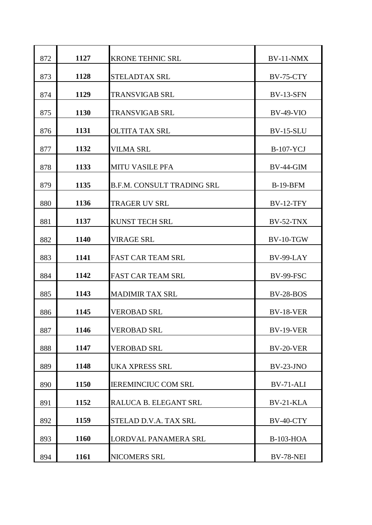| 872 | 1127 | <b>KRONE TEHNIC SRL</b>           | $BV-11-NMX$      |
|-----|------|-----------------------------------|------------------|
| 873 | 1128 | <b>STELADTAX SRL</b>              | <b>BV-75-CTY</b> |
| 874 | 1129 | <b>TRANSVIGAB SRL</b>             | <b>BV-13-SFN</b> |
| 875 | 1130 | <b>TRANSVIGAB SRL</b>             | $BV-49-VIO$      |
| 876 | 1131 | <b>OLTITA TAX SRL</b>             | <b>BV-15-SLU</b> |
| 877 | 1132 | <b>VILMA SRL</b>                  | <b>B-107-YCJ</b> |
| 878 | 1133 | <b>MITU VASILE PFA</b>            | <b>BV-44-GIM</b> |
| 879 | 1135 | <b>B.F.M. CONSULT TRADING SRL</b> | <b>B-19-BFM</b>  |
| 880 | 1136 | <b>TRAGER UV SRL</b>              | <b>BV-12-TFY</b> |
| 881 | 1137 | <b>KUNST TECH SRL</b>             | <b>BV-52-TNX</b> |
| 882 | 1140 | <b>VIRAGE SRL</b>                 | $BV-10-TGW$      |
| 883 | 1141 | <b>FAST CAR TEAM SRL</b>          | BV-99-LAY        |
| 884 | 1142 | <b>FAST CAR TEAM SRL</b>          | <b>BV-99-FSC</b> |
| 885 | 1143 | <b>MADIMIR TAX SRL</b>            | <b>BV-28-BOS</b> |
| 886 | 1145 | <b>VEROBAD SRL</b>                | <b>BV-18-VER</b> |
| 887 | 1146 | <b>VEROBAD SRL</b>                | <b>BV-19-VER</b> |
| 888 | 1147 | <b>VEROBAD SRL</b>                | BV-20-VER        |
| 889 | 1148 | UKA XPRESS SRL                    | $BV-23-JNO$      |
| 890 | 1150 | <b>IEREMINCIUC COM SRL</b>        | BV-71-ALI        |
| 891 | 1152 | RALUCA B. ELEGANT SRL             | BV-21-KLA        |
| 892 | 1159 | STELAD D.V.A. TAX SRL             | BV-40-CTY        |
| 893 | 1160 | LORDVAL PANAMERA SRL              | <b>B-103-HOA</b> |
| 894 | 1161 | NICOMERS SRL                      | <b>BV-78-NEI</b> |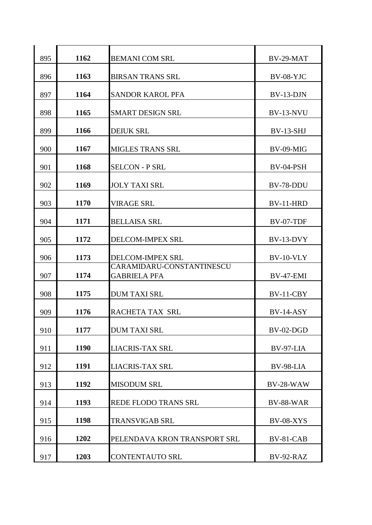| 895 | 1162 | <b>BEMANI COM SRL</b>                            | BV-29-MAT        |
|-----|------|--------------------------------------------------|------------------|
| 896 | 1163 | <b>BIRSAN TRANS SRL</b>                          | <b>BV-08-YJC</b> |
| 897 | 1164 | <b>SANDOR KAROL PFA</b>                          | $BV-13-DJN$      |
|     |      |                                                  |                  |
| 898 | 1165 | <b>SMART DESIGN SRL</b>                          | BV-13-NVU        |
| 899 | 1166 | <b>DEIUK SRL</b>                                 | <b>BV-13-SHJ</b> |
| 900 | 1167 | <b>MIGLES TRANS SRL</b>                          | BV-09-MIG        |
| 901 | 1168 | <b>SELCON - P SRL</b>                            | BV-04-PSH        |
| 902 | 1169 | <b>JOLY TAXI SRL</b>                             | BV-78-DDU        |
| 903 | 1170 | <b>VIRAGE SRL</b>                                | BV-11-HRD        |
| 904 | 1171 | <b>BELLAISA SRL</b>                              | BV-07-TDF        |
| 905 | 1172 | <b>DELCOM-IMPEX SRL</b>                          | BV-13-DVY        |
| 906 | 1173 | <b>DELCOM-IMPEX SRL</b>                          | BV-10-VLY        |
| 907 | 1174 | CARAMIDARU-CONSTANTINESCU<br><b>GABRIELA PFA</b> | <b>BV-47-EMI</b> |
| 908 | 1175 | <b>DUM TAXI SRL</b>                              | BV-11-CBY        |
| 909 | 1176 | <b>RACHETA TAX SRL</b>                           | $BV-14-ASY$      |
| 910 | 1177 | <b>DUM TAXI SRL</b>                              | BV-02-DGD        |
| 911 | 1190 | <b>LIACRIS-TAX SRL</b>                           | BV-97-LIA        |
| 912 | 1191 | <b>LIACRIS-TAX SRL</b>                           | BV-98-LIA        |
| 913 | 1192 | <b>MISODUM SRL</b>                               | <b>BV-28-WAW</b> |
| 914 | 1193 | <b>REDE FLODO TRANS SRL</b>                      | <b>BV-88-WAR</b> |
| 915 | 1198 | <b>TRANSVIGAB SRL</b>                            | <b>BV-08-XYS</b> |
| 916 | 1202 | PELENDAVA KRON TRANSPORT SRL                     | BV-81-CAB        |
| 917 | 1203 | CONTENTAUTO SRL                                  | BV-92-RAZ        |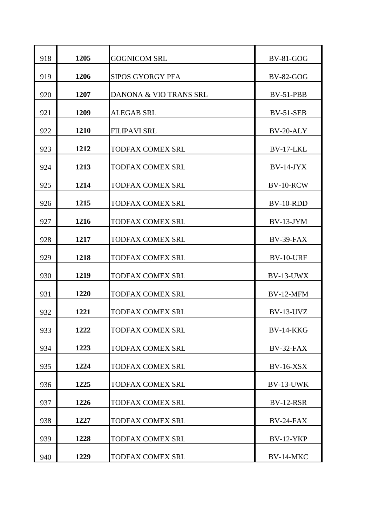| 918 | 1205 | <b>GOGNICOM SRL</b>     | <b>BV-81-GOG</b> |
|-----|------|-------------------------|------------------|
| 919 | 1206 | <b>SIPOS GYORGY PFA</b> | <b>BV-82-GOG</b> |
| 920 | 1207 | DANONA & VIO TRANS SRL  | BV-51-PBB        |
| 921 | 1209 | <b>ALEGAB SRL</b>       | <b>BV-51-SEB</b> |
| 922 | 1210 | <b>FILIPAVI SRL</b>     | BV-20-ALY        |
| 923 | 1212 | <b>TODFAX COMEX SRL</b> | BV-17-LKL        |
| 924 | 1213 | <b>TODFAX COMEX SRL</b> | $BV-14-JYX$      |
| 925 | 1214 | <b>TODFAX COMEX SRL</b> | BV-10-RCW        |
| 926 | 1215 | <b>TODFAX COMEX SRL</b> | BV-10-RDD        |
| 927 | 1216 | <b>TODFAX COMEX SRL</b> | $BV-13-JYM$      |
| 928 | 1217 | <b>TODFAX COMEX SRL</b> | BV-39-FAX        |
| 929 | 1218 | <b>TODFAX COMEX SRL</b> | BV-10-URF        |
| 930 | 1219 | <b>TODFAX COMEX SRL</b> | BV-13-UWX        |
| 931 | 1220 | <b>TODFAX COMEX SRL</b> | BV-12-MFM        |
| 932 | 1221 | <b>TODFAX COMEX SRL</b> | BV-13-UVZ        |
| 933 | 1222 | TODFAX COMEX SRL        | <b>BV-14-KKG</b> |
| 934 | 1223 | <b>TODFAX COMEX SRL</b> | BV-32-FAX        |
| 935 | 1224 | TODFAX COMEX SRL        | <b>BV-16-XSX</b> |
| 936 | 1225 | <b>TODFAX COMEX SRL</b> | BV-13-UWK        |
| 937 | 1226 | TODFAX COMEX SRL        | <b>BV-12-RSR</b> |
| 938 | 1227 | TODFAX COMEX SRL        | $BV-24-FAX$      |
| 939 | 1228 | <b>TODFAX COMEX SRL</b> | <b>BV-12-YKP</b> |
| 940 | 1229 | <b>TODFAX COMEX SRL</b> | BV-14-MKC        |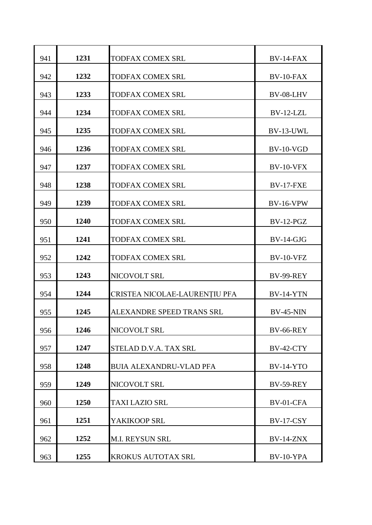| 941 | 1231 | <b>TODFAX COMEX SRL</b>        | BV-14-FAX        |
|-----|------|--------------------------------|------------------|
| 942 | 1232 | <b>TODFAX COMEX SRL</b>        | $BV-10-FAX$      |
| 943 | 1233 | <b>TODFAX COMEX SRL</b>        | BV-08-LHV        |
| 944 | 1234 | <b>TODFAX COMEX SRL</b>        | $BV-12-LZL$      |
| 945 | 1235 | <b>TODFAX COMEX SRL</b>        | BV-13-UWL        |
| 946 | 1236 | <b>TODFAX COMEX SRL</b>        | $BV-10-VGD$      |
| 947 | 1237 | <b>TODFAX COMEX SRL</b>        | BV-10-VFX        |
| 948 | 1238 | <b>TODFAX COMEX SRL</b>        | <b>BV-17-FXE</b> |
| 949 | 1239 | <b>TODFAX COMEX SRL</b>        | <b>BV-16-VPW</b> |
| 950 | 1240 | <b>TODFAX COMEX SRL</b>        | $BV-12-PGZ$      |
| 951 | 1241 | <b>TODFAX COMEX SRL</b>        | $BV-14-GJG$      |
| 952 | 1242 | <b>TODFAX COMEX SRL</b>        | <b>BV-10-VFZ</b> |
| 953 | 1243 | NICOVOLT SRL                   | <b>BV-99-REY</b> |
| 954 | 1244 | CRISTEA NICOLAE-LAURENȚIU PFA  | <b>BV-14-YTN</b> |
| 955 | 1245 | ALEXANDRE SPEED TRANS SRL      | <b>BV-45-NIN</b> |
| 956 | 1246 | NICOVOLT SRL                   | <b>BV-66-REY</b> |
| 957 | 1247 | STELAD D.V.A. TAX SRL          | <b>BV-42-CTY</b> |
| 958 | 1248 | <b>BUIA ALEXANDRU-VLAD PFA</b> | $BV-14-YTO$      |
| 959 | 1249 | NICOVOLT SRL                   | <b>BV-59-REY</b> |
| 960 | 1250 | <b>TAXI LAZIO SRL</b>          | BV-01-CFA        |
| 961 | 1251 | YAKIKOOP SRL                   | <b>BV-17-CSY</b> |
| 962 | 1252 | <b>M.I. REYSUN SRL</b>         | <b>BV-14-ZNX</b> |
| 963 | 1255 | KROKUS AUTOTAX SRL             | BV-10-YPA        |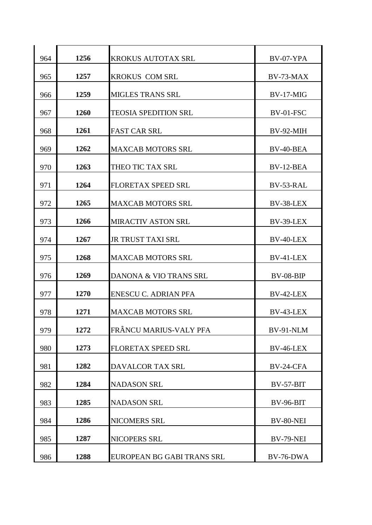| 964 | 1256 | <b>KROKUS AUTOTAX SRL</b>   | BV-07-YPA        |
|-----|------|-----------------------------|------------------|
| 965 | 1257 | <b>KROKUS COM SRL</b>       | BV-73-MAX        |
| 966 | 1259 | <b>MIGLES TRANS SRL</b>     | $BV-17-MIG$      |
| 967 | 1260 | <b>TEOSIA SPEDITION SRL</b> | BV-01-FSC        |
| 968 | 1261 | <b>FAST CAR SRL</b>         | BV-92-MIH        |
| 969 | 1262 | <b>MAXCAB MOTORS SRL</b>    | BV-40-BEA        |
| 970 | 1263 | THEO TIC TAX SRL            | BV-12-BEA        |
| 971 | 1264 | <b>FLORETAX SPEED SRL</b>   | BV-53-RAL        |
| 972 | 1265 | <b>MAXCAB MOTORS SRL</b>    | BV-38-LEX        |
| 973 | 1266 | <b>MIRACTIV ASTON SRL</b>   | BV-39-LEX        |
| 974 | 1267 | <b>JR TRUST TAXI SRL</b>    | BV-40-LEX        |
| 975 | 1268 | <b>MAXCAB MOTORS SRL</b>    | BV-41-LEX        |
| 976 | 1269 | DANONA & VIO TRANS SRL      | $BV-08-BIP$      |
| 977 | 1270 | <b>ENESCU C. ADRIAN PFA</b> | BV-42-LEX        |
| 978 | 1271 | <b>MAXCAB MOTORS SRL</b>    | BV-43-LEX        |
| 979 | 1272 | FRÂNCU MARIUS-VALY PFA      | BV-91-NLM        |
| 980 | 1273 | <b>FLORETAX SPEED SRL</b>   | BV-46-LEX        |
| 981 | 1282 | DAVALCOR TAX SRL            | BV-24-CFA        |
| 982 | 1284 | <b>NADASON SRL</b>          | $BV-57-BIT$      |
| 983 | 1285 | <b>NADASON SRL</b>          | <b>BV-96-BIT</b> |
| 984 | 1286 | NICOMERS SRL                | BV-80-NEI        |
| 985 | 1287 | NICOPERS SRL                | <b>BV-79-NEI</b> |
| 986 | 1288 | EUROPEAN BG GABI TRANS SRL  | BV-76-DWA        |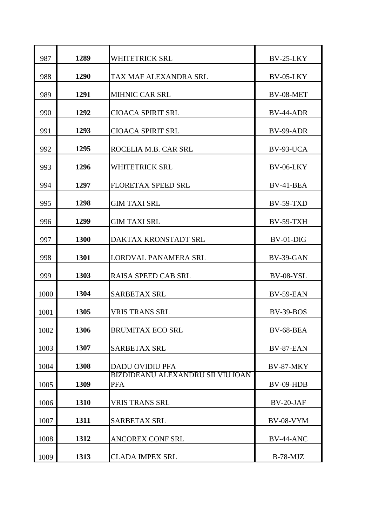| 987  | 1289 | <b>WHITETRICK SRL</b>                          | BV-25-LKY        |
|------|------|------------------------------------------------|------------------|
| 988  | 1290 | TAX MAF ALEXANDRA SRL                          | BV-05-LKY        |
| 989  | 1291 | <b>MIHNIC CAR SRL</b>                          | BV-08-MET        |
| 990  | 1292 | <b>CIOACA SPIRIT SRL</b>                       | BV-44-ADR        |
| 991  | 1293 | <b>CIOACA SPIRIT SRL</b>                       | BV-99-ADR        |
| 992  | 1295 | ROCELIA M.B. CAR SRL                           | BV-93-UCA        |
| 993  | 1296 | <b>WHITETRICK SRL</b>                          | <b>BV-06-LKY</b> |
| 994  | 1297 | <b>FLORETAX SPEED SRL</b>                      | BV-41-BEA        |
| 995  | 1298 | <b>GIM TAXI SRL</b>                            | $BV-59-TXD$      |
| 996  | 1299 | <b>GIM TAXI SRL</b>                            | <b>BV-59-TXH</b> |
| 997  | 1300 | <b>DAKTAX KRONSTADT SRL</b>                    | $BV-01-DIG$      |
| 998  | 1301 | <b>LORDVAL PANAMERA SRL</b>                    | BV-39-GAN        |
| 999  | 1303 | <b>RAISA SPEED CAB SRL</b>                     | BV-08-YSL        |
| 1000 | 1304 | <b>SARBETAX SRL</b>                            | BV-59-EAN        |
| 1001 | 1305 | VRIS TRANS SRL                                 | <b>BV-39-BOS</b> |
| 1002 | 1306 | <b>BRUMITAX ECO SRL</b>                        | BV-68-BEA        |
| 1003 | 1307 | <b>SARBETAX SRL</b>                            | BV-87-EAN        |
| 1004 | 1308 | <b>DADU OVIDIU PFA</b>                         | BV-87-MKY        |
| 1005 | 1309 | BIZDIDEANU ALEXANDRU SILVIU IOAN<br><b>PFA</b> | BV-09-HDB        |
| 1006 | 1310 | <b>VRIS TRANS SRL</b>                          | BV-20-JAF        |
| 1007 | 1311 | <b>SARBETAX SRL</b>                            | <b>BV-08-VYM</b> |
| 1008 | 1312 | <b>ANCOREX CONF SRL</b>                        | BV-44-ANC        |
| 1009 | 1313 | <b>CLADA IMPEX SRL</b>                         | $B-78-MJZ$       |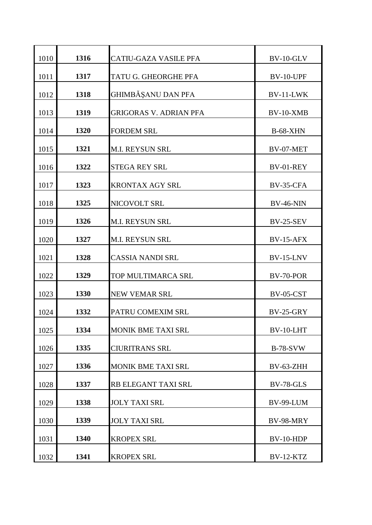| 1010 | 1316 | <b>CATIU-GAZA VASILE PFA</b>  | BV-10-GLV        |
|------|------|-------------------------------|------------------|
| 1011 | 1317 | TATU G. GHEORGHE PFA          | BV-10-UPF        |
| 1012 | 1318 | GHIMBĂȘANU DAN PFA            | BV-11-LWK        |
| 1013 | 1319 | <b>GRIGORAS V. ADRIAN PFA</b> | $BV-10-XMB$      |
| 1014 | 1320 | <b>FORDEM SRL</b>             | <b>B-68-XHN</b>  |
| 1015 | 1321 | <b>M.I. REYSUN SRL</b>        | BV-07-MET        |
| 1016 | 1322 | <b>STEGA REY SRL</b>          | BV-01-REY        |
| 1017 | 1323 | <b>KRONTAX AGY SRL</b>        | BV-35-CFA        |
| 1018 | 1325 | NICOVOLT SRL                  | <b>BV-46-NIN</b> |
| 1019 | 1326 | <b>M.I. REYSUN SRL</b>        | <b>BV-25-SEV</b> |
| 1020 | 1327 | M.I. REYSUN SRL               | <b>BV-15-AFX</b> |
| 1021 | 1328 | <b>CASSIA NANDI SRL</b>       | <b>BV-15-LNV</b> |
| 1022 | 1329 | TOP MULTIMARCA SRL            | BV-70-POR        |
| 1023 | 1330 | <b>NEW VEMAR SRL</b>          | <b>BV-05-CST</b> |
| 1024 | 1332 | PATRU COMEXIM SRL             | <b>BV-25-GRY</b> |
| 1025 | 1334 | <b>MONIK BME TAXI SRL</b>     | BV-10-LHT        |
| 1026 | 1335 | <b>CIURITRANS SRL</b>         | <b>B-78-SVW</b>  |
| 1027 | 1336 | <b>MONIK BME TAXI SRL</b>     | BV-63-ZHH        |
| 1028 | 1337 | RB ELEGANT TAXI SRL           | <b>BV-78-GLS</b> |
| 1029 | 1338 | <b>JOLY TAXI SRL</b>          | BV-99-LUM        |
| 1030 | 1339 | <b>JOLY TAXI SRL</b>          | BV-98-MRY        |
| 1031 | 1340 | <b>KROPEX SRL</b>             | BV-10-HDP        |
| 1032 | 1341 | <b>KROPEX SRL</b>             | BV-12-KTZ        |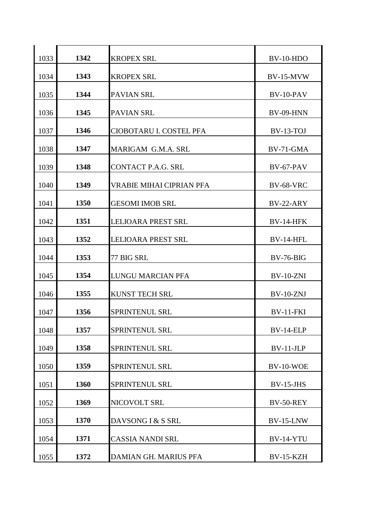| 1033 | 1342 | <b>KROPEX SRL</b>               | $BV-10-HDO$      |
|------|------|---------------------------------|------------------|
| 1034 | 1343 | <b>KROPEX SRL</b>               | <b>BV-15-MVW</b> |
| 1035 | 1344 | <b>PAVIAN SRL</b>               | BV-10-PAV        |
| 1036 | 1345 | <b>PAVIAN SRL</b>               | <b>BV-09-HNN</b> |
| 1037 | 1346 | CIOBOTARU I. COSTEL PFA         | $BV-13-TOJ$      |
| 1038 | 1347 | MARIGAM G.M.A. SRL              | BV-71-GMA        |
| 1039 | 1348 | <b>CONTACT P.A.G. SRL</b>       | <b>BV-67-PAV</b> |
| 1040 | 1349 | <b>VRABIE MIHAI CIPRIAN PFA</b> | <b>BV-68-VRC</b> |
| 1041 | 1350 | <b>GESOMI IMOB SRL</b>          | BV-22-ARY        |
| 1042 | 1351 | <b>LELIOARA PREST SRL</b>       | <b>BV-14-HFK</b> |
| 1043 | 1352 | <b>LELIOARA PREST SRL</b>       | BV-14-HFL        |
| 1044 | 1353 | 77 BIG SRL                      | $BV-76-BIG$      |
| 1045 | 1354 | LUNGU MARCIAN PFA               | <b>BV-10-ZNI</b> |
| 1046 | 1355 | <b>KUNST TECH SRL</b>           | $BV-10-ZNJ$      |
| 1047 | 1356 | <b>SPRINTENUL SRL</b>           | <b>BV-11-FKI</b> |
| 1048 | 1357 | SPRINTENUL SRL                  | BV-14-ELP        |
| 1049 | 1358 | SPRINTENUL SRL                  | $BV-11-JLP$      |
| 1050 | 1359 | SPRINTENUL SRL                  | <b>BV-10-WOE</b> |
| 1051 | 1360 | SPRINTENUL SRL                  | $BV-15-JHS$      |
| 1052 | 1369 | NICOVOLT SRL                    | BV-50-REY        |
| 1053 | 1370 | DAVSONG I & S SRL               | <b>BV-15-LNW</b> |
| 1054 | 1371 | <b>CASSIA NANDI SRL</b>         | BV-14-YTU        |
| 1055 | 1372 | DAMIAN GH. MARIUS PFA           | <b>BV-15-KZH</b> |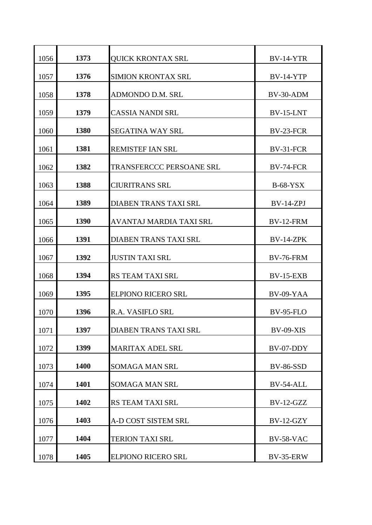| 1056 | 1373 | <b>QUICK KRONTAX SRL</b>     | <b>BV-14-YTR</b> |
|------|------|------------------------------|------------------|
| 1057 | 1376 | <b>SIMION KRONTAX SRL</b>    | <b>BV-14-YTP</b> |
| 1058 | 1378 | ADMONDO D.M. SRL             | BV-30-ADM        |
| 1059 | 1379 | <b>CASSIA NANDI SRL</b>      | BV-15-LNT        |
| 1060 | 1380 | <b>SEGATINA WAY SRL</b>      | BV-23-FCR        |
| 1061 | 1381 | <b>REMISTEF IAN SRL</b>      | BV-31-FCR        |
| 1062 | 1382 | TRANSFERCCC PERSOANE SRL     | BV-74-FCR        |
| 1063 | 1388 | <b>CIURITRANS SRL</b>        | $B-68-YSX$       |
| 1064 | 1389 | <b>DIABEN TRANS TAXI SRL</b> | $BV-14-ZPI$      |
| 1065 | 1390 | AVANTAJ MARDIA TAXI SRL      | <b>BV-12-FRM</b> |
| 1066 | 1391 | <b>DIABEN TRANS TAXI SRL</b> | <b>BV-14-ZPK</b> |
| 1067 | 1392 | <b>JUSTIN TAXI SRL</b>       | <b>BV-76-FRM</b> |
| 1068 | 1394 | <b>RS TEAM TAXI SRL</b>      | <b>BV-15-EXB</b> |
| 1069 | 1395 | <b>ELPIONO RICERO SRL</b>    | BV-09-YAA        |
| 1070 | 1396 | <b>R.A. VASIFLO SRL</b>      | <b>BV-95-FLO</b> |
| 1071 | 1397 | <b>DIABEN TRANS TAXI SRL</b> | <b>BV-09-XIS</b> |
| 1072 | 1399 | <b>MARITAX ADEL SRL</b>      | BV-07-DDY        |
| 1073 | 1400 | <b>SOMAGA MAN SRL</b>        | <b>BV-86-SSD</b> |
| 1074 | 1401 | <b>SOMAGA MAN SRL</b>        | BV-54-ALL        |
| 1075 | 1402 | RS TEAM TAXI SRL             | $BV-12-GZZ$      |
| 1076 | 1403 | A-D COST SISTEM SRL          | $BV-12-GZY$      |
| 1077 | 1404 | <b>TERION TAXI SRL</b>       | <b>BV-58-VAC</b> |
| 1078 | 1405 | <b>ELPIONO RICERO SRL</b>    | <b>BV-35-ERW</b> |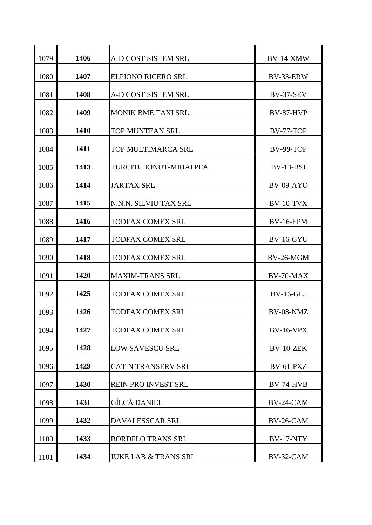| 1079 | 1406 | <b>A-D COST SISTEM SRL</b>      | <b>BV-14-XMW</b> |
|------|------|---------------------------------|------------------|
| 1080 | 1407 | <b>ELPIONO RICERO SRL</b>       | BV-33-ERW        |
| 1081 | 1408 | A-D COST SISTEM SRL             | <b>BV-37-SEV</b> |
| 1082 | 1409 | <b>MONIK BME TAXI SRL</b>       | <b>BV-87-HVP</b> |
| 1083 | 1410 | TOP MUNTEAN SRL                 | <b>BV-77-TOP</b> |
| 1084 | 1411 | TOP MULTIMARCA SRL              | <b>BV-99-TOP</b> |
| 1085 | 1413 | TURCITU IONUT-MIHAI PFA         | $BV-13-BSI$      |
| 1086 | 1414 | <b>JARTAX SRL</b>               | <b>BV-09-AYO</b> |
| 1087 | 1415 | N.N.N. SILVIU TAX SRL           | $BV-10-TVX$      |
| 1088 | 1416 | <b>TODFAX COMEX SRL</b>         | <b>BV-16-EPM</b> |
| 1089 | 1417 | <b>TODFAX COMEX SRL</b>         | <b>BV-16-GYU</b> |
| 1090 | 1418 | TODFAX COMEX SRL                | BV-26-MGM        |
| 1091 | 1420 | <b>MAXIM-TRANS SRL</b>          | BV-70-MAX        |
| 1092 | 1425 | <b>TODFAX COMEX SRL</b>         | <b>BV-16-GLJ</b> |
| 1093 | 1426 | TODFAX COMEX SRL                | BV-08-NMZ        |
| 1094 | 1427 | TODFAX COMEX SRL                | <b>BV-16-VPX</b> |
| 1095 | 1428 | <b>LOW SAVESCU SRL</b>          | BV-10-ZEK        |
| 1096 | 1429 | <b>CATIN TRANSERV SRL</b>       | $BV-61-PXZ$      |
| 1097 | 1430 | <b>REIN PRO INVEST SRL</b>      | <b>BV-74-HVB</b> |
| 1098 | 1431 | GÎLCĂ DANIEL                    | BV-24-CAM        |
| 1099 | 1432 | DAVALESSCAR SRL                 | BV-26-CAM        |
| 1100 | 1433 | <b>BORDFLO TRANS SRL</b>        | <b>BV-17-NTY</b> |
| 1101 | 1434 | <b>JUKE LAB &amp; TRANS SRL</b> | BV-32-CAM        |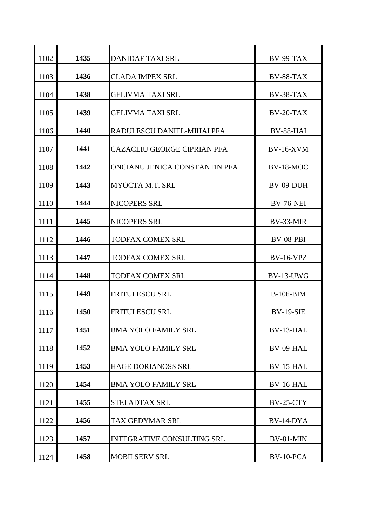| 1102 | 1435 | <b>DANIDAF TAXI SRL</b>            | $BV-99-TAX$      |
|------|------|------------------------------------|------------------|
| 1103 | 1436 | <b>CLADA IMPEX SRL</b>             | BV-88-TAX        |
| 1104 | 1438 | <b>GELIVMA TAXI SRL</b>            | BV-38-TAX        |
| 1105 | 1439 | <b>GELIVMA TAXI SRL</b>            | $BV-20-TAX$      |
| 1106 | 1440 | RADULESCU DANIEL-MIHAI PFA         | BV-88-HAI        |
| 1107 | 1441 | <b>CAZACLIU GEORGE CIPRIAN PFA</b> | <b>BV-16-XVM</b> |
| 1108 | 1442 | ONCIANU JENICA CONSTANTIN PFA      | BV-18-MOC        |
| 1109 | 1443 | <b>MYOCTA M.T. SRL</b>             | BV-09-DUH        |
| 1110 | 1444 | <b>NICOPERS SRL</b>                | <b>BV-76-NEI</b> |
| 1111 | 1445 | NICOPERS SRL                       | BV-33-MIR        |
| 1112 | 1446 | <b>TODFAX COMEX SRL</b>            | BV-08-PBI        |
| 1113 | 1447 | TODFAX COMEX SRL                   | <b>BV-16-VPZ</b> |
| 1114 | 1448 | <b>TODFAX COMEX SRL</b>            | BV-13-UWG        |
| 1115 | 1449 | <b>FRITULESCU SRL</b>              | <b>B-106-BIM</b> |
| 1116 | 1450 | <b>FRITULESCU SRL</b>              | <b>BV-19-SIE</b> |
| 1117 | 1451 | <b>BMA YOLO FAMILY SRL</b>         | BV-13-HAL        |
| 1118 | 1452 | <b>BMA YOLO FAMILY SRL</b>         | BV-09-HAL        |
| 1119 | 1453 | <b>HAGE DORIANOSS SRL</b>          | <b>BV-15-HAL</b> |
| 1120 | 1454 | <b>BMA YOLO FAMILY SRL</b>         | BV-16-HAL        |
| 1121 | 1455 | STELADTAX SRL                      | <b>BV-25-CTY</b> |
| 1122 | 1456 | TAX GEDYMAR SRL                    | BV-14-DYA        |
| 1123 | 1457 | <b>INTEGRATIVE CONSULTING SRL</b>  | BV-81-MIN        |
| 1124 | 1458 | <b>MOBILSERV SRL</b>               | BV-10-PCA        |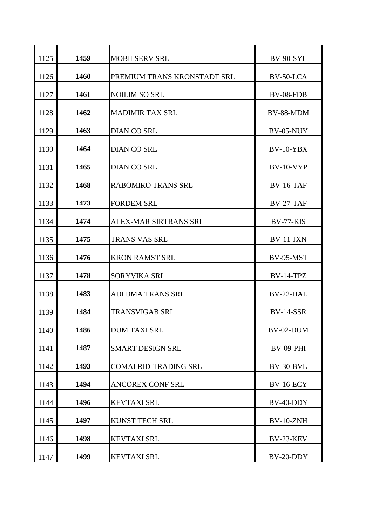| 1125 | 1459 | <b>MOBILSERV SRL</b>        | <b>BV-90-SYL</b> |
|------|------|-----------------------------|------------------|
| 1126 | 1460 | PREMIUM TRANS KRONSTADT SRL | BV-50-LCA        |
| 1127 | 1461 | <b>NOILIM SO SRL</b>        | BV-08-FDB        |
| 1128 | 1462 | <b>MADIMIR TAX SRL</b>      | BV-88-MDM        |
| 1129 | 1463 | DIAN CO SRL                 | BV-05-NUY        |
| 1130 | 1464 | <b>DIAN CO SRL</b>          | $BV-10-YBX$      |
| 1131 | 1465 | <b>DIAN CO SRL</b>          | <b>BV-10-VYP</b> |
| 1132 | 1468 | <b>RABOMIRO TRANS SRL</b>   | $BV-16-TAF$      |
| 1133 | 1473 | <b>FORDEM SRL</b>           | $BV-27-TAF$      |
| 1134 | 1474 | ALEX-MAR SIRTRANS SRL       | BV-77-KIS        |
| 1135 | 1475 | <b>TRANS VAS SRL</b>        | $BV-11-JXN$      |
| 1136 | 1476 | <b>KRON RAMST SRL</b>       | <b>BV-95-MST</b> |
| 1137 | 1478 | <b>SORYVIKA SRL</b>         | $BV-14-TPZ$      |
| 1138 | 1483 | <b>ADI BMA TRANS SRL</b>    | BV-22-HAL        |
| 1139 | 1484 | <b>TRANSVIGAB SRL</b>       | <b>BV-14-SSR</b> |
| 1140 | 1486 | <b>DUM TAXI SRL</b>         | BV-02-DUM        |
| 1141 | 1487 | <b>SMART DESIGN SRL</b>     | <b>BV-09-PHI</b> |
| 1142 | 1493 | <b>COMALRID-TRADING SRL</b> | BV-30-BVL        |
| 1143 | 1494 | <b>ANCOREX CONF SRL</b>     | <b>BV-16-ECY</b> |
| 1144 | 1496 | <b>KEVTAXI SRL</b>          | BV-40-DDY        |
| 1145 | 1497 | KUNST TECH SRL              | BV-10-ZNH        |
| 1146 | 1498 | <b>KEVTAXI SRL</b>          | <b>BV-23-KEV</b> |
| 1147 | 1499 | <b>KEVTAXI SRL</b>          | BV-20-DDY        |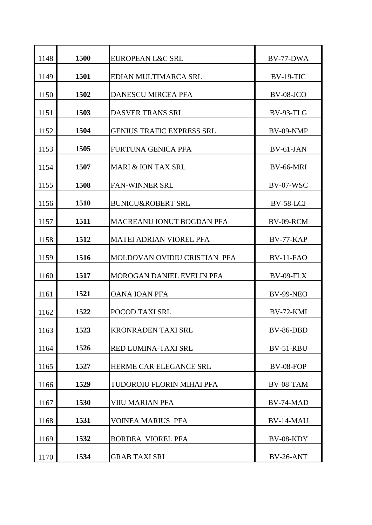| 1148 | 1500 | <b>EUROPEAN L&amp;C SRL</b>      | BV-77-DWA        |
|------|------|----------------------------------|------------------|
| 1149 | 1501 | EDIAN MULTIMARCA SRL             | <b>BV-19-TIC</b> |
| 1150 | 1502 | <b>DANESCU MIRCEA PFA</b>        | BV-08-JCO        |
| 1151 | 1503 | <b>DASVER TRANS SRL</b>          | <b>BV-93-TLG</b> |
| 1152 | 1504 | <b>GENIUS TRAFIC EXPRESS SRL</b> | BV-09-NMP        |
| 1153 | 1505 | <b>FURTUNA GENICA PFA</b>        | $BV-61-JAN$      |
| 1154 | 1507 | MARI & ION TAX SRL               | <b>BV-66-MRI</b> |
| 1155 | 1508 | <b>FAN-WINNER SRL</b>            | BV-07-WSC        |
| 1156 | 1510 | <b>BUNICU&amp;ROBERT SRL</b>     | BV-58-LCJ        |
| 1157 | 1511 | MACREANU IONUT BOGDAN PFA        | BV-09-RCM        |
| 1158 | 1512 | <b>MATEI ADRIAN VIOREL PFA</b>   | $BV-77-KAP$      |
| 1159 | 1516 | MOLDOVAN OVIDIU CRISTIAN PFA     | BV-11-FAO        |
| 1160 | 1517 | MOROGAN DANIEL EVELIN PFA        | BV-09-FLX        |
| 1161 | 1521 | <b>OANA IOAN PFA</b>             | <b>BV-99-NEO</b> |
| 1162 | 1522 | POCOD TAXI SRL                   | BV-72-KMI        |
| 1163 | 1523 | <b>KRONRADEN TAXI SRL</b>        | BV-86-DBD        |
| 1164 | 1526 | RED LUMINA-TAXI SRL              | BV-51-RBU        |
| 1165 | 1527 | <b>HERME CAR ELEGANCE SRL</b>    | BV-08-FOP        |
| 1166 | 1529 | TUDOROIU FLORIN MIHAI PFA        | BV-08-TAM        |
| 1167 | 1530 | <b>VIIU MARIAN PFA</b>           | BV-74-MAD        |
| 1168 | 1531 | <b>VOINEA MARIUS PFA</b>         | BV-14-MAU        |
| 1169 | 1532 | <b>BORDEA VIOREL PFA</b>         | BV-08-KDY        |
| 1170 | 1534 | <b>GRAB TAXI SRL</b>             | <b>BV-26-ANT</b> |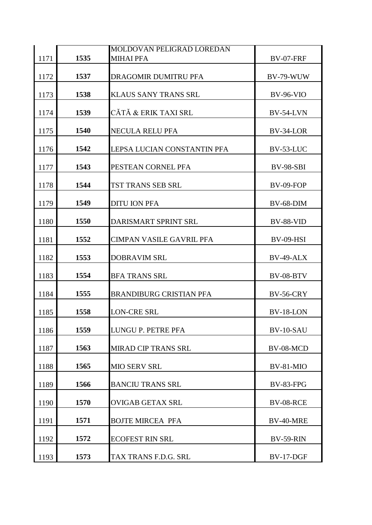|      |      | MOLDOVAN PELIGRAD LOREDAN       |                  |
|------|------|---------------------------------|------------------|
| 1171 | 1535 | <b>MIHAI PFA</b>                | <b>BV-07-FRF</b> |
| 1172 | 1537 | DRAGOMIR DUMITRU PFA            | BV-79-WUW        |
| 1173 | 1538 | <b>KLAUS SANY TRANS SRL</b>     | <b>BV-96-VIO</b> |
| 1174 | 1539 | CĂTĂ & ERIK TAXI SRL            | <b>BV-54-LVN</b> |
| 1175 | 1540 | <b>NECULA RELU PFA</b>          | BV-34-LOR        |
| 1176 | 1542 | LEPSA LUCIAN CONSTANTIN PFA     | BV-53-LUC        |
| 1177 | 1543 | PESTEAN CORNEL PFA              | <b>BV-98-SBI</b> |
| 1178 | 1544 | TST TRANS SEB SRL               | BV-09-FOP        |
| 1179 | 1549 | <b>DITU ION PFA</b>             | <b>BV-68-DIM</b> |
| 1180 | 1550 | DARISMART SPRINT SRL            | BV-88-VID        |
| 1181 | 1552 | <b>CIMPAN VASILE GAVRIL PFA</b> | <b>BV-09-HSI</b> |
| 1182 | 1553 | <b>DOBRAVIM SRL</b>             | BV-49-ALX        |
| 1183 | 1554 | <b>BFA TRANS SRL</b>            | BV-08-BTV        |
| 1184 | 1555 | <b>BRANDIBURG CRISTIAN PFA</b>  | <b>BV-56-CRY</b> |
| 1185 | 1558 | <b>LON-CRE SRL</b>              | BV-18-LON        |
| 1186 | 1559 | LUNGU P. PETRE PFA              | BV-10-SAU        |
| 1187 | 1563 | <b>MIRAD CIP TRANS SRL</b>      | BV-08-MCD        |
| 1188 | 1565 | <b>MIO SERV SRL</b>             | BV-81-MIO        |
| 1189 | 1566 | <b>BANCIU TRANS SRL</b>         | <b>BV-83-FPG</b> |
| 1190 | 1570 | <b>OVIGAB GETAX SRL</b>         | <b>BV-08-RCE</b> |
| 1191 | 1571 | <b>BOJTE MIRCEA PFA</b>         | BV-40-MRE        |
| 1192 | 1572 | <b>ECOFEST RIN SRL</b>          | <b>BV-59-RIN</b> |
| 1193 | 1573 | TAX TRANS F.D.G. SRL            | <b>BV-17-DGF</b> |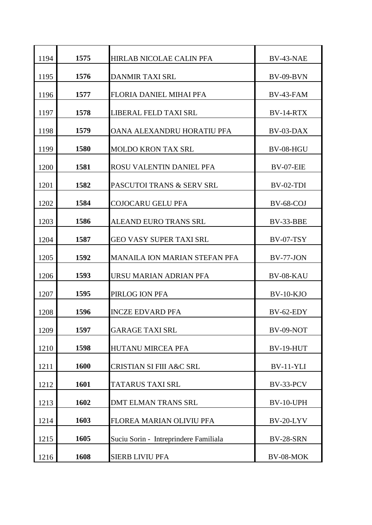| 1194 | 1575 | <b>HIRLAB NICOLAE CALIN PFA</b>       | BV-43-NAE        |
|------|------|---------------------------------------|------------------|
| 1195 | 1576 | <b>DANMIR TAXI SRL</b>                | $BV-09-BVN$      |
| 1196 | 1577 | FLORIA DANIEL MIHAI PFA               | BV-43-FAM        |
| 1197 | 1578 | LIBERAL FELD TAXI SRL                 | BV-14-RTX        |
| 1198 | 1579 | OANA ALEXANDRU HORATIU PFA            | BV-03-DAX        |
| 1199 | 1580 | <b>MOLDO KRON TAX SRL</b>             | BV-08-HGU        |
| 1200 | 1581 | ROSU VALENTIN DANIEL PFA              | BV-07-EIE        |
| 1201 | 1582 | PASCUTOI TRANS & SERV SRL             | $BV-02-TDI$      |
| 1202 | 1584 | <b>COJOCARU GELU PFA</b>              | BV-68-COJ        |
| 1203 | 1586 | <b>ALEAND EURO TRANS SRL</b>          | BV-33-BBE        |
| 1204 | 1587 | <b>GEO VASY SUPER TAXI SRL</b>        | $BV-07-TSY$      |
| 1205 | 1592 | <b>MANAILA ION MARIAN STEFAN PFA</b>  | <b>BV-77-JON</b> |
| 1206 | 1593 | URSU MARIAN ADRIAN PFA                | BV-08-KAU        |
| 1207 | 1595 | PIRLOG ION PFA                        | $BV-10-KJO$      |
| 1208 | 1596 | <b>INCZE EDVARD PFA</b>               | BV-62-EDY        |
| 1209 | 1597 | <b>GARAGE TAXI SRL</b>                | BV-09-NOT        |
| 1210 | 1598 | <b>HUTANU MIRCEA PFA</b>              | <b>BV-19-HUT</b> |
| 1211 | 1600 | <b>CRISTIAN SI FIII A&amp;C SRL</b>   | <b>BV-11-YLI</b> |
| 1212 | 1601 | TATARUS TAXI SRL                      | BV-33-PCV        |
| 1213 | 1602 | <b>DMT ELMAN TRANS SRL</b>            | BV-10-UPH        |
| 1214 | 1603 | FLOREA MARIAN OLIVIU PFA              | BV-20-LYV        |
| 1215 | 1605 | Suciu Sorin - Intreprindere Familiala | BV-28-SRN        |
| 1216 | 1608 | <b>SIERB LIVIU PFA</b>                | BV-08-MOK        |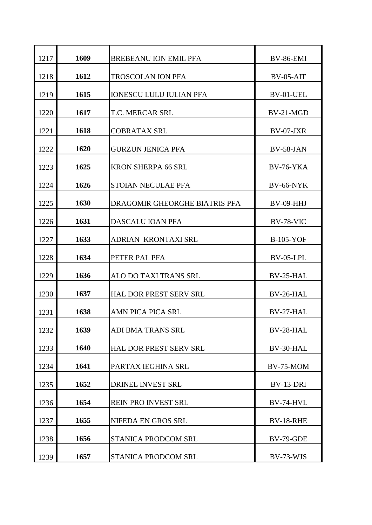| 1217 | 1609 | <b>BREBEANU ION EMIL PFA</b>   | <b>BV-86-EMI</b> |
|------|------|--------------------------------|------------------|
| 1218 | 1612 | <b>TROSCOLAN ION PFA</b>       | $BV-05-AIT$      |
| 1219 | 1615 | <b>IONESCU LULU IULIAN PFA</b> | BV-01-UEL        |
| 1220 | 1617 | <b>T.C. MERCAR SRL</b>         | $BV-21-MGD$      |
| 1221 | 1618 | <b>COBRATAX SRL</b>            | BV-07-JXR        |
| 1222 | 1620 | <b>GURZUN JENICA PFA</b>       | BV-58-JAN        |
| 1223 | 1625 | <b>KRON SHERPA 66 SRL</b>      | <b>BV-76-YKA</b> |
| 1224 | 1626 | <b>STOIAN NECULAE PFA</b>      | <b>BV-66-NYK</b> |
| 1225 | 1630 | DRAGOMIR GHEORGHE BIATRIS PFA  | <b>BV-09-HHJ</b> |
| 1226 | 1631 | <b>DASCALU IOAN PFA</b>        | BV-78-VIC        |
| 1227 | 1633 | <b>ADRIAN KRONTAXI SRL</b>     | $B-105-YOF$      |
| 1228 | 1634 | PETER PAL PFA                  | BV-05-LPL        |
| 1229 | 1636 | ALO DO TAXI TRANS SRL          | BV-25-HAL        |
| 1230 | 1637 | <b>HAL DOR PREST SERV SRL</b>  | BV-26-HAL        |
| 1231 | 1638 | <b>AMN PICA PICA SRL</b>       | BV-27-HAL        |
| 1232 | 1639 | <b>ADI BMA TRANS SRL</b>       | BV-28-HAL        |
|      | 1640 | <b>HAL DOR PREST SERV SRL</b>  | BV-30-HAL        |
| 1233 |      |                                |                  |
| 1234 | 1641 | PARTAX IEGHINA SRL             | <b>BV-75-MOM</b> |
| 1235 | 1652 | DRINEL INVEST SRL              | BV-13-DRI        |
| 1236 | 1654 | REIN PRO INVEST SRL            | BV-74-HVL        |
| 1237 | 1655 | NIFEDA EN GROS SRL             | <b>BV-18-RHE</b> |
| 1238 | 1656 | <b>STANICA PRODCOM SRL</b>     | <b>BV-79-GDE</b> |
| 1239 | 1657 | STANICA PRODCOM SRL            | BV-73-WJS        |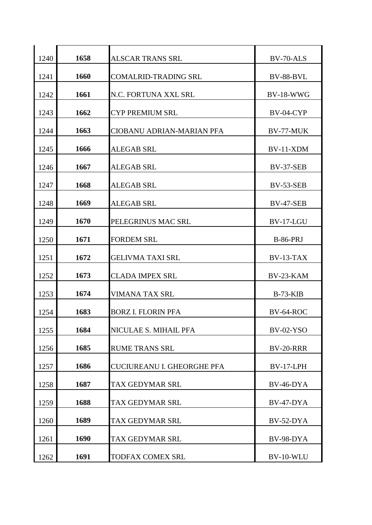| 1240 | 1658 | <b>ALSCAR TRANS SRL</b>           | BV-70-ALS        |
|------|------|-----------------------------------|------------------|
| 1241 | 1660 | <b>COMALRID-TRADING SRL</b>       | BV-88-BVL        |
| 1242 | 1661 | N.C. FORTUNA XXL SRL              | $BV-18-WWG$      |
| 1243 | 1662 | <b>CYP PREMIUM SRL</b>            | BV-04-CYP        |
| 1244 | 1663 | CIOBANU ADRIAN-MARIAN PFA         | BV-77-MUK        |
| 1245 | 1666 | <b>ALEGAB SRL</b>                 | $BV-11-XDM$      |
| 1246 | 1667 | <b>ALEGAB SRL</b>                 | <b>BV-37-SEB</b> |
| 1247 | 1668 | <b>ALEGAB SRL</b>                 | <b>BV-53-SEB</b> |
| 1248 | 1669 | <b>ALEGAB SRL</b>                 | <b>BV-47-SEB</b> |
| 1249 | 1670 | PELEGRINUS MAC SRL                | BV-17-LGU        |
| 1250 | 1671 | <b>FORDEM SRL</b>                 | <b>B-86-PRJ</b>  |
| 1251 | 1672 | <b>GELIVMA TAXI SRL</b>           | $BV-13-TAX$      |
| 1252 | 1673 | <b>CLADA IMPEX SRL</b>            | BV-23-KAM        |
|      | 1674 | <b>VIMANA TAX SRL</b>             |                  |
| 1253 |      |                                   | $B-73-KIB$       |
| 1254 | 1683 | <b>BORZ I. FLORIN PFA</b>         | BV-64-ROC        |
| 1255 | 1684 | NICULAE S. MIHAIL PFA             | <b>BV-02-YSO</b> |
| 1256 | 1685 | <b>RUME TRANS SRL</b>             | <b>BV-20-RRR</b> |
| 1257 | 1686 | <b>CUCIUREANU I. GHEORGHE PFA</b> | BV-17-LPH        |
| 1258 | 1687 | TAX GEDYMAR SRL                   | BV-46-DYA        |
| 1259 | 1688 | TAX GEDYMAR SRL                   | BV-47-DYA        |
| 1260 | 1689 | TAX GEDYMAR SRL                   | BV-52-DYA        |
| 1261 | 1690 | TAX GEDYMAR SRL                   | BV-98-DYA        |
| 1262 | 1691 | TODFAX COMEX SRL                  | BV-10-WLU        |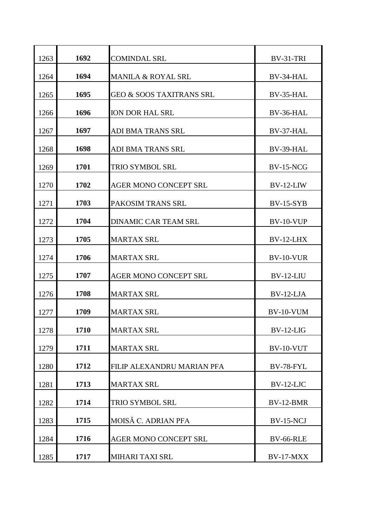| 1263 | 1692 | <b>COMINDAL SRL</b>                 | BV-31-TRI        |
|------|------|-------------------------------------|------------------|
| 1264 | 1694 | <b>MANILA &amp; ROYAL SRL</b>       | BV-34-HAL        |
| 1265 | 1695 | <b>GEO &amp; SOOS TAXITRANS SRL</b> | BV-35-HAL        |
| 1266 | 1696 | <b>ION DOR HAL SRL</b>              | BV-36-HAL        |
| 1267 | 1697 | ADI BMA TRANS SRL                   | BV-37-HAL        |
| 1268 | 1698 | ADI BMA TRANS SRL                   | BV-39-HAL        |
| 1269 | 1701 | <b>TRIO SYMBOL SRL</b>              | <b>BV-15-NCG</b> |
| 1270 | 1702 | <b>AGER MONO CONCEPT SRL</b>        | $BV-12-LIW$      |
| 1271 | 1703 | PAKOSIM TRANS SRL                   | $BV-15-SYB$      |
| 1272 | 1704 | <b>DINAMIC CAR TEAM SRL</b>         | BV-10-VUP        |
| 1273 | 1705 | <b>MARTAX SRL</b>                   | $BV-12-LHX$      |
| 1274 | 1706 | <b>MARTAX SRL</b>                   | <b>BV-10-VUR</b> |
| 1275 | 1707 | <b>AGER MONO CONCEPT SRL</b>        | $BV-12-LIU$      |
| 1276 | 1708 | <b>MARTAX SRL</b>                   | $BV-12-LJA$      |
| 1277 | 1709 | <b>MARTAX SRL</b>                   | $BV-10-VUM$      |
| 1278 | 1710 | <b>MARTAX SRL</b>                   | $BV-12-LIG$      |
| 1279 | 1711 | <b>MARTAX SRL</b>                   | BV-10-VUT        |
| 1280 | 1712 | FILIP ALEXANDRU MARIAN PFA          | <b>BV-78-FYL</b> |
| 1281 | 1713 | <b>MARTAX SRL</b>                   | $BV-12-LJC$      |
| 1282 | 1714 | TRIO SYMBOL SRL                     | BV-12-BMR        |
| 1283 | 1715 | MOISĂ C. ADRIAN PFA                 | <b>BV-15-NCJ</b> |
| 1284 | 1716 | <b>AGER MONO CONCEPT SRL</b>        | <b>BV-66-RLE</b> |
| 1285 | 1717 | MIHARI TAXI SRL                     | BV-17-MXX        |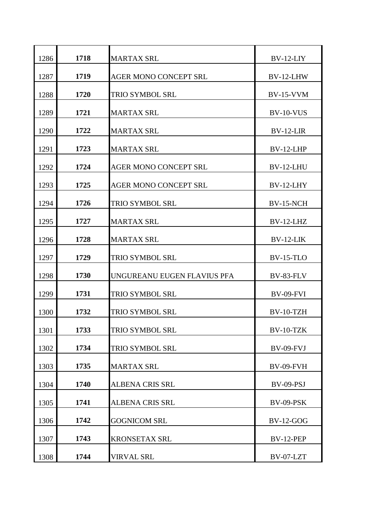| 1286 | 1718 | <b>MARTAX SRL</b>            | $BV-12-LIY$      |
|------|------|------------------------------|------------------|
| 1287 | 1719 | <b>AGER MONO CONCEPT SRL</b> | BV-12-LHW        |
| 1288 | 1720 | <b>TRIO SYMBOL SRL</b>       | <b>BV-15-VVM</b> |
| 1289 | 1721 | <b>MARTAX SRL</b>            | BV-10-VUS        |
| 1290 | 1722 | <b>MARTAX SRL</b>            | $BV-12-LIR$      |
| 1291 | 1723 | <b>MARTAX SRL</b>            | BV-12-LHP        |
| 1292 | 1724 | <b>AGER MONO CONCEPT SRL</b> | BV-12-LHU        |
| 1293 | 1725 | <b>AGER MONO CONCEPT SRL</b> | BV-12-LHY        |
| 1294 | 1726 | <b>TRIO SYMBOL SRL</b>       | <b>BV-15-NCH</b> |
| 1295 | 1727 | <b>MARTAX SRL</b>            | BV-12-LHZ        |
| 1296 | 1728 | <b>MARTAX SRL</b>            | BV-12-LIK        |
| 1297 | 1729 | <b>TRIO SYMBOL SRL</b>       | <b>BV-15-TLO</b> |
| 1298 | 1730 | UNGUREANU EUGEN FLAVIUS PFA  | BV-83-FLV        |
| 1299 | 1731 | <b>TRIO SYMBOL SRL</b>       | <b>BV-09-FVI</b> |
| 1300 | 1732 | <b>TRIO SYMBOL SRL</b>       | BV-10-TZH        |
| 1301 | 1733 | TRIO SYMBOL SRL              | BV-10-TZK        |
| 1302 | 1734 | <b>TRIO SYMBOL SRL</b>       | BV-09-FVJ        |
| 1303 | 1735 | <b>MARTAX SRL</b>            | <b>BV-09-FVH</b> |
| 1304 | 1740 | <b>ALBENA CRIS SRL</b>       | BV-09-PSJ        |
| 1305 | 1741 | <b>ALBENA CRIS SRL</b>       | <b>BV-09-PSK</b> |
| 1306 | 1742 | <b>GOGNICOM SRL</b>          | <b>BV-12-GOG</b> |
| 1307 | 1743 | <b>KRONSETAX SRL</b>         | <b>BV-12-PEP</b> |
| 1308 | 1744 | <b>VIRVAL SRL</b>            | BV-07-LZT        |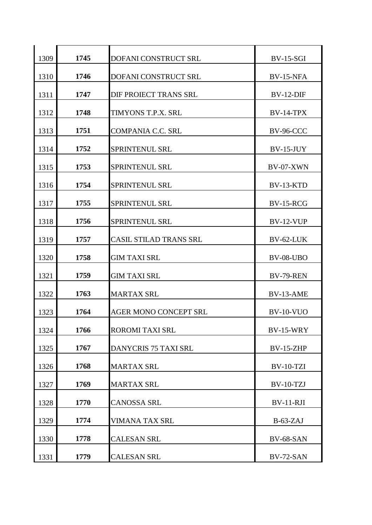| 1309 | 1745 | <b>DOFANI CONSTRUCT SRL</b>   | <b>BV-15-SGI</b> |
|------|------|-------------------------------|------------------|
| 1310 | 1746 | DOFANI CONSTRUCT SRL          | <b>BV-15-NFA</b> |
| 1311 | 1747 | DIF PROIECT TRANS SRL         | $BV-12-DIF$      |
| 1312 | 1748 | TIMYONS T.P.X. SRL            | <b>BV-14-TPX</b> |
| 1313 | 1751 | <b>COMPANIA C.C. SRL</b>      | BV-96-CCC        |
| 1314 | 1752 | <b>SPRINTENUL SRL</b>         | $BV-15-JUY$      |
| 1315 | 1753 | <b>SPRINTENUL SRL</b>         | BV-07-XWN        |
| 1316 | 1754 | <b>SPRINTENUL SRL</b>         | BV-13-KTD        |
| 1317 | 1755 | <b>SPRINTENUL SRL</b>         | <b>BV-15-RCG</b> |
| 1318 | 1756 | <b>SPRINTENUL SRL</b>         | <b>BV-12-VUP</b> |
| 1319 | 1757 | <b>CASIL STILAD TRANS SRL</b> | BV-62-LUK        |
| 1320 | 1758 | <b>GIM TAXI SRL</b>           | <b>BV-08-UBO</b> |
| 1321 | 1759 | <b>GIM TAXI SRL</b>           | <b>BV-79-REN</b> |
| 1322 | 1763 | <b>MARTAX SRL</b>             | BV-13-AME        |
| 1323 | 1764 | <b>AGER MONO CONCEPT SRL</b>  | <b>BV-10-VUO</b> |
| 1324 | 1766 | ROROMI TAXI SRL               | <b>BV-15-WRY</b> |
| 1325 | 1767 | <b>DANYCRIS 75 TAXI SRL</b>   | $BV-15-ZHP$      |
| 1326 | 1768 | <b>MARTAX SRL</b>             | <b>BV-10-TZI</b> |
| 1327 | 1769 | <b>MARTAX SRL</b>             | <b>BV-10-TZJ</b> |
| 1328 | 1770 | <b>CANOSSA SRL</b>            | $BV-11-RJI$      |
| 1329 | 1774 | <b>VIMANA TAX SRL</b>         | $B-63-ZAJ$       |
| 1330 | 1778 | <b>CALESAN SRL</b>            | <b>BV-68-SAN</b> |
| 1331 | 1779 | <b>CALESAN SRL</b>            | BV-72-SAN        |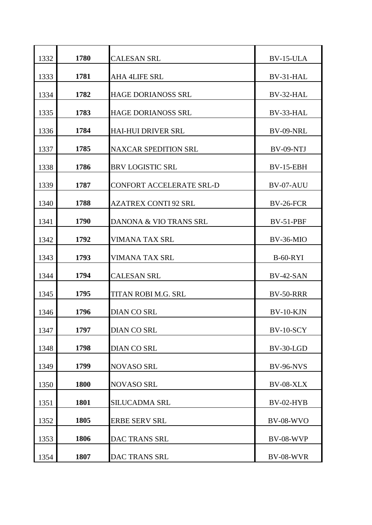| 1332 | 1780 | <b>CALESAN SRL</b>          | BV-15-ULA        |
|------|------|-----------------------------|------------------|
| 1333 | 1781 | <b>AHA 4LIFE SRL</b>        | BV-31-HAL        |
| 1334 | 1782 | <b>HAGE DORIANOSS SRL</b>   | BV-32-HAL        |
| 1335 | 1783 | <b>HAGE DORIANOSS SRL</b>   | BV-33-HAL        |
| 1336 | 1784 | <b>HAI-HUI DRIVER SRL</b>   | BV-09-NRL        |
| 1337 | 1785 | <b>NAXCAR SPEDITION SRL</b> | BV-09-NTJ        |
| 1338 | 1786 | <b>BRV LOGISTIC SRL</b>     | <b>BV-15-EBH</b> |
| 1339 | 1787 | CONFORT ACCELERATE SRL-D    | BV-07-AUU        |
| 1340 | 1788 | <b>AZATREX CONTI 92 SRL</b> | <b>BV-26-FCR</b> |
| 1341 | 1790 | DANONA & VIO TRANS SRL      | BV-51-PBF        |
| 1342 | 1792 | <b>VIMANA TAX SRL</b>       | BV-36-MIO        |
| 1343 | 1793 | <b>VIMANA TAX SRL</b>       | <b>B-60-RYI</b>  |
| 1344 | 1794 | <b>CALESAN SRL</b>          | $BV-42-SAN$      |
| 1345 | 1795 | TITAN ROBI M.G. SRL         | <b>BV-50-RRR</b> |
| 1346 | 1796 | <b>DIAN CO SRL</b>          | $BV-10-KJN$      |
| 1347 | 1797 | <b>DIAN CO SRL</b>          | BV-10-SCY        |
| 1348 | 1798 | <b>DIAN CO SRL</b>          | BV-30-LGD        |
| 1349 | 1799 | NOVASO SRL                  | <b>BV-96-NVS</b> |
| 1350 | 1800 | <b>NOVASO SRL</b>           | <b>BV-08-XLX</b> |
| 1351 | 1801 | <b>SILUCADMA SRL</b>        | BV-02-HYB        |
| 1352 | 1805 | <b>ERBE SERV SRL</b>        | <b>BV-08-WVO</b> |
| 1353 | 1806 | <b>DAC TRANS SRL</b>        | BV-08-WVP        |
| 1354 | 1807 | DAC TRANS SRL               | <b>BV-08-WVR</b> |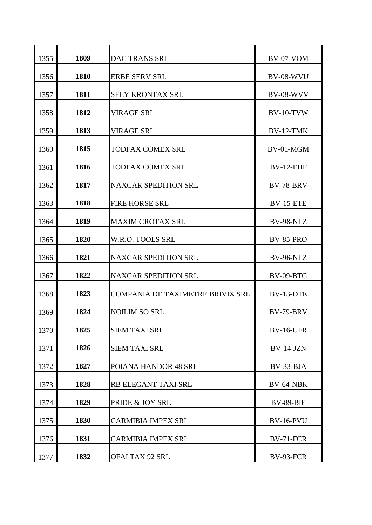| 1355                 | 1809                 | <b>DAC TRANS SRL</b>                                                             | BV-07-VOM                                         |
|----------------------|----------------------|----------------------------------------------------------------------------------|---------------------------------------------------|
| 1356                 | 1810                 | <b>ERBE SERV SRL</b>                                                             | <b>BV-08-WVU</b>                                  |
| 1357                 | 1811                 | <b>SELY KRONTAX SRL</b>                                                          | <b>BV-08-WVV</b>                                  |
| 1358                 | 1812                 | <b>VIRAGE SRL</b>                                                                | $BV-10-TVW$                                       |
| 1359                 | 1813                 | <b>VIRAGE SRL</b>                                                                | BV-12-TMK                                         |
| 1360                 | 1815                 | <b>TODFAX COMEX SRL</b>                                                          | BV-01-MGM                                         |
| 1361                 | 1816                 | <b>TODFAX COMEX SRL</b>                                                          | BV-12-EHF                                         |
| 1362                 | 1817                 | <b>NAXCAR SPEDITION SRL</b>                                                      | <b>BV-78-BRV</b>                                  |
| 1363                 | 1818                 | <b>FIRE HORSE SRL</b>                                                            | <b>BV-15-ETE</b>                                  |
| 1364                 | 1819                 | <b>MAXIM CROTAX SRL</b>                                                          | BV-98-NLZ                                         |
| 1365                 | 1820                 | W.R.O. TOOLS SRL                                                                 | <b>BV-85-PRO</b>                                  |
| 1366                 | 1821                 | <b>NAXCAR SPEDITION SRL</b>                                                      | BV-96-NLZ                                         |
| 1367                 | 1822                 | <b>NAXCAR SPEDITION SRL</b>                                                      | BV-09-BTG                                         |
| 1368                 | 1823                 | <b>COMPANIA DE TAXIMETRE BRIVIX SRL</b>                                          | BV-13-DTE                                         |
| 1369                 | 1824                 | <b>NOILIM SO SRL</b>                                                             | <b>BV-79-BRV</b>                                  |
| 1370                 | 1825                 | <b>SIEM TAXI SRL</b>                                                             | <b>BV-16-UFR</b>                                  |
| 1371                 | 1826                 | <b>SIEM TAXI SRL</b>                                                             | BV-14-JZN                                         |
| 1372                 | 1827                 | POIANA HANDOR 48 SRL                                                             | BV-33-BJA                                         |
| 1373                 | 1828                 | RB ELEGANT TAXI SRL                                                              | BV-64-NBK                                         |
| 1374                 | 1829                 | PRIDE & JOY SRL                                                                  | <b>BV-89-BIE</b>                                  |
|                      |                      |                                                                                  |                                                   |
|                      |                      |                                                                                  |                                                   |
|                      |                      |                                                                                  |                                                   |
| 1375<br>1376<br>1377 | 1830<br>1831<br>1832 | <b>CARMIBIA IMPEX SRL</b><br><b>CARMIBIA IMPEX SRL</b><br><b>OFAI TAX 92 SRL</b> | <b>BV-16-PVU</b><br>BV-71-FCR<br><b>BV-93-FCR</b> |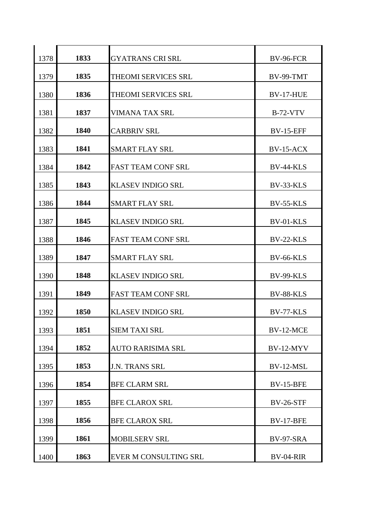| 1378 | 1833 | <b>GYATRANS CRI SRL</b>   | <b>BV-96-FCR</b> |
|------|------|---------------------------|------------------|
| 1379 | 1835 | THEOMI SERVICES SRL       | <b>BV-99-TMT</b> |
| 1380 | 1836 | THEOMI SERVICES SRL       | <b>BV-17-HUE</b> |
| 1381 | 1837 | VIMANA TAX SRL            | <b>B-72-VTV</b>  |
| 1382 | 1840 | <b>CARBRIV SRL</b>        | <b>BV-15-EFF</b> |
| 1383 | 1841 | <b>SMART FLAY SRL</b>     | $BV-15-ACK$      |
| 1384 | 1842 | <b>FAST TEAM CONF SRL</b> | <b>BV-44-KLS</b> |
| 1385 | 1843 | <b>KLASEV INDIGO SRL</b>  | BV-33-KLS        |
| 1386 | 1844 | <b>SMART FLAY SRL</b>     | <b>BV-55-KLS</b> |
| 1387 | 1845 | <b>KLASEV INDIGO SRL</b>  | BV-01-KLS        |
| 1388 | 1846 | <b>FAST TEAM CONF SRL</b> | BV-22-KLS        |
| 1389 | 1847 | <b>SMART FLAY SRL</b>     | <b>BV-66-KLS</b> |
| 1390 | 1848 | <b>KLASEV INDIGO SRL</b>  | <b>BV-99-KLS</b> |
| 1391 | 1849 | <b>FAST TEAM CONF SRL</b> | BV-88-KLS        |
| 1392 | 1850 | <b>KLASEV INDIGO SRL</b>  | BV-77-KLS        |
| 1393 | 1851 | <b>SIEM TAXI SRL</b>      | BV-12-MCE        |
| 1394 | 1852 | <b>AUTO RARISIMA SRL</b>  | BV-12-MYV        |
| 1395 | 1853 | <b>J.N. TRANS SRL</b>     | BV-12-MSL        |
| 1396 | 1854 | <b>BFE CLARM SRL</b>      | <b>BV-15-BFE</b> |
| 1397 | 1855 | <b>BFE CLAROX SRL</b>     | <b>BV-26-STF</b> |
| 1398 | 1856 | <b>BFE CLAROX SRL</b>     | <b>BV-17-BFE</b> |
| 1399 | 1861 | <b>MOBILSERV SRL</b>      | <b>BV-97-SRA</b> |
| 1400 | 1863 | EVER M CONSULTING SRL     | <b>BV-04-RIR</b> |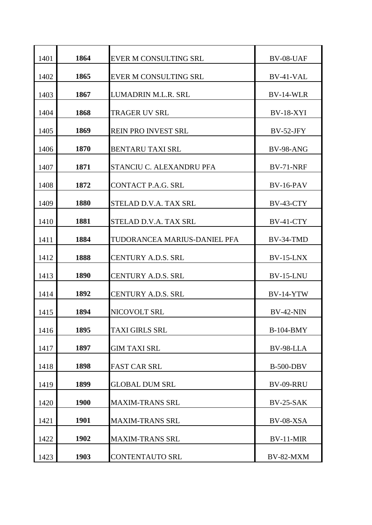| 1401 | 1864 | <b>EVER M CONSULTING SRL</b> | BV-08-UAF        |
|------|------|------------------------------|------------------|
| 1402 | 1865 | <b>EVER M CONSULTING SRL</b> | BV-41-VAL        |
| 1403 | 1867 | LUMADRIN M.L.R. SRL          | BV-14-WLR        |
| 1404 | 1868 | <b>TRAGER UV SRL</b>         | <b>BV-18-XYI</b> |
| 1405 | 1869 | <b>REIN PRO INVEST SRL</b>   | $BV-52-JFY$      |
| 1406 | 1870 | <b>BENTARU TAXI SRL</b>      | <b>BV-98-ANG</b> |
| 1407 | 1871 | STANCIU C. ALEXANDRU PFA     | <b>BV-71-NRF</b> |
| 1408 | 1872 | <b>CONTACT P.A.G. SRL</b>    | $BV-16-PAV$      |
| 1409 | 1880 | STELAD D.V.A. TAX SRL        | BV-43-CTY        |
| 1410 | 1881 | STELAD D.V.A. TAX SRL        | BV-41-CTY        |
| 1411 | 1884 | TUDORANCEA MARIUS-DANIEL PFA | BV-34-TMD        |
| 1412 | 1888 | <b>CENTURY A.D.S. SRL</b>    | <b>BV-15-LNX</b> |
| 1413 | 1890 | <b>CENTURY A.D.S. SRL</b>    | <b>BV-15-LNU</b> |
| 1414 | 1892 | <b>CENTURY A.D.S. SRL</b>    | $BV-14-YTW$      |
| 1415 | 1894 | NICOVOLT SRL                 | <b>BV-42-NIN</b> |
| 1416 | 1895 | <b>TAXI GIRLS SRL</b>        | <b>B-104-BMY</b> |
| 1417 | 1897 | <b>GIM TAXI SRL</b>          | BV-98-LLA        |
| 1418 | 1898 | <b>FAST CAR SRL</b>          | <b>B-500-DBV</b> |
| 1419 | 1899 | <b>GLOBAL DUM SRL</b>        | BV-09-RRU        |
| 1420 | 1900 | <b>MAXIM-TRANS SRL</b>       | <b>BV-25-SAK</b> |
| 1421 | 1901 | <b>MAXIM-TRANS SRL</b>       | BV-08-XSA        |
| 1422 | 1902 | <b>MAXIM-TRANS SRL</b>       | BV-11-MIR        |
| 1423 | 1903 | <b>CONTENTAUTO SRL</b>       | <b>BV-82-MXM</b> |